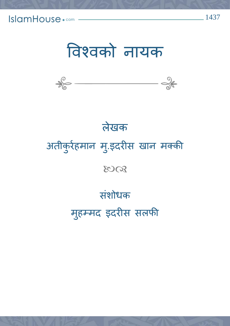IslamHouse.com





# लेखक अतीक ु र्रहमान म.ुइदर्ीस खान मक्की 8008 संशोधक महु म्मद इदर्ीस सलफी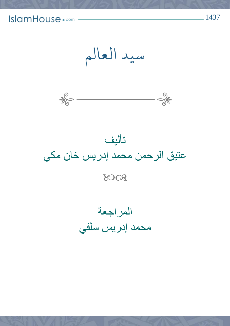





المراجعة محمد إدريس سلفي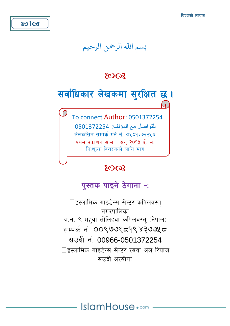## بسم الله الرحمن الرحيم

#### **8008**



للتواصل مع المؤلف: 0501372254 लेखकसित सम्पर्क गर्ने नं. ०५०१३७२२५४ प्रथम प्रकाशन साल सन २०१५ ई. सं. निःशल्क वितरणको लागि मात्र

#### 8008

#### पुस्तक पाइने ठेगाना -:

□इस्लामिक गाइडेन्स सेन्टर कपिलवस्त नगरपालिका व.नं. ९ महवा तौलिहवा कपिलवस्त् (नेपाल) सम्पर्क नं 00९७७९ ८१९४३७७५ ८ सउदी नं 00966-0501372254 □इस्लामिक गाइडेन्स सेन्टर रबवा अल रियाज सप्तदी अरबीया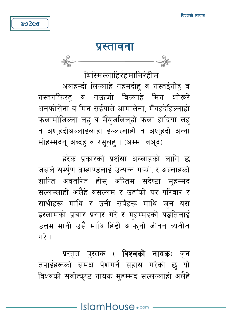

 $\frac{1}{\sqrt{2}}$ 

#### प्रस्तावना

बिस्मिल्लाहिर्रहमानिर्रहीम

अलहम्दो लिल्लाहे नहमदोह व नस्तईनोह व नस्तगफिरह व नऊजो बिल्लाहे मिन शोरूरे अनफोसेना व मिन सईयाते आमालेना, मैँयहदेहिल्लाहो फलामोजिल्ला लह व मैँयुजलिल्हो फला हादिया लह व अशहदोअल्लाइलाहा इल्लल्लाहो व अशहदो अन्ना मोहम्मदन् अब्दह् व रसूलह् । (अम्मा बअ्द)

हरेक प्रकारको प्रशंसा अल्लाहको लागि छ जसले सर्म्पण ब्रम्हाण्डलाई उत्पन्न गऱ्यो, र अल्लाहको शान्ति अवतरित होस् अन्तिम संदेष्टा महम्मद सल्लल्लाहो अलैहे वसल्लम र उहाँको घर परिवार र साथीहरू माथि र उनी सबैहरू माथि जुन यस इस्लामको प्रचार प्रसार गरे र महम्मदको पद्धतिलाई उत्तम मानी उसै माथि हिंडी आफनो जीवन व्यतीत गरे ।

प्रस्त्**त पुस्तक ( विश्वको नायक**) जुन तपाईहरूको समक्ष पेशगर्ने सहास गरेको छु यो विश्वको सर्वोत्कष्ट नायक महम्मद सल्लल्लाहो अलैहे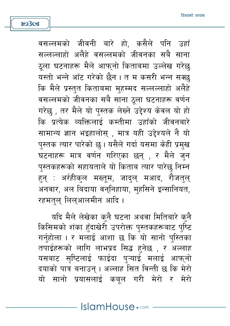वसल्लमको जीवनी बारे हो, कसैले पनि उहाँ सल्लल्लाहो अलैहे वसल्लमको जीवनका सबै साना ठुला घटनाहरू मैले आफुनो किताबमा उल्लेख गरेछ यस्तो भन्ने आँट गरेको छैन । त म कसरी भन्न सक्छ कि मैले प्रस्तुत किताबमा मुहम्मद सल्लल्लाहो अलैहे वसल्लमको जीवनका सबै साना ठूला घटनाहरू वर्णन गरेछ , तर मैले यो पुस्तक लेख्ने उद्देश्य केवल यो हो कि प्रत्येक व्यक्तिलाई कम्तीमा उहाँको जीवनबारे सामान्य ज्ञान भइहालोस् , मात्र यही उद्देश्यले नै यो पुस्तक त्यार पारेको छु। यसैले गर्दा यसमा केही प्रमुख घटनाहरू मात्र वर्णन गरिएका छन् , र मैले जुन पुस्तकहरूको सहायताले यो किताब त्यार पारेछ निम्न हुन् : अर्रहीकुल मख्तूम, जादुल् मआद, रौजतुल् अनवार, अल बिदाया वन्निहाया, मुहसिने इन्सानियत, रहमत्ल् लिल्आलमीन आदि ।

803cg

यदि मैले लेखेका क्नै घटना अथवा मितिबारे क्नै किसिमको शंका हँदाखेरी उपरोक्त पुस्तकहरूबाट पुष्टि गर्नहोला । र मलाई आशा छ कि यो सानो पस्तिका तपाईहरूको लागि लाभप्रद सिद्ध हुनेछ , र अल्लाह यसबाट सृष्टिलाई फाईदा पुऱ्याई मलाई आफ्नो दयाको पात्र बनाउन् । अल्लाह सित विन्ती छ कि मेरो यो सानो प्रयासलाई कबुल गरी मेरो र मेरो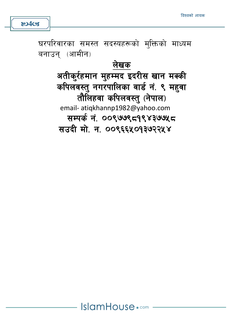घरपरिवारका समस्त सदस्यहरूको मुक्तिको माध्यम बनाउन (आमीन)

> लेखक अतीक्र्रहमान मुहम्मद इदरीस खान मक्की कपिलवस्त् नगरपालिका वार्ड नं. ९ महवा तौलिहवा कपिलवस्त् (नेपाल) email- atiqkhannp1982@yahoo.com सम्पर्क नं. ००९७७९८१९४३७७५८ सउदी मो. न. ००९६६५०१३७२२५४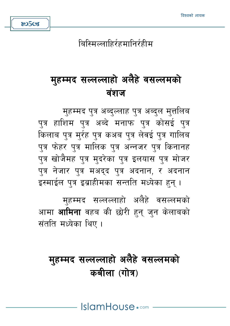# मुहम्मद सल्लल्लाहो अलैहे वसल्लमको कबीला (गोत्र)

मुहम्मद सल्लल्लाहो अलैहे वसल्लमको आमा **आमिना** वहब की छोरी हन् जन केलाबको संतति मध्येका थिए ।

मुहम्मद पुत्र अब्दुल्लाह पुत्र अब्दुल मुत्तलिब पुत्र हाशिम पुत्र अब्दे मनाफ पुत्र कोसई पुत्र किलाब पुत्र मुर्रह पुत्र कअब पुत्र लेवई पुत्र गालिब पुत्र फेहर पुत्र मालिक पुत्र अन्नजर पुत्र किनानह पुत्र खोजैमह पुत्र मुदरेका पुत्र इलयास पुत्र मोजर पुत्र नेजार पुत्र मअद्द पुत्र अदनान, र अदनान इस्माईल पुत्र इब्राहीमका सन्तति मध्येका हुन् ।

# मुहम्मद सल्लल्लाहो अलैहे वसल्लमको वंशज

बिस्मिल्लाहिर्रहमानिर्रहीम

&o5cg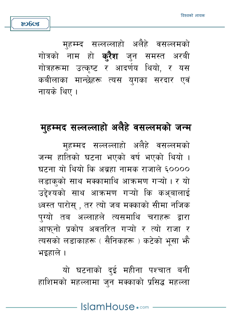महम्म्द सल्लल्लाहो अलैहे वसल्लमको गोत्रको नाम हो **क्रैश** जुन समस्त अरबी गोत्रहरूमा उत्कष्ट र आदर्णय थियो. र यस कबीलाका मान्छेहरू त्यस यगका सरदार एवं नायके थिए ।

**ROGGS** 

#### महम्मद सल्लल्लाहो अलैहे वसल्लमको जन्म

मुहम्मद सल्लल्लाहो अलैहे वसल्लमको जन्म हातिको घटना भएको वर्ष भएको थियो । घटना यो थियो कि अब्रहा नामक राजाले ६०००० लडाकुको साथ मक्कामाथि आक्रमण गऱ्यो । र यो उद्देश्यको साथ आक्रमण गऱ्यो कि कअबालाई ध्वस्त पारोस् , तर त्यो जब मक्काको सीमा नजिक पग्यो तब अल्लाहले त्यसमाथि चराहरू द्वारा आफनो प्रकोप अवतरित गऱ्यो र त्यो राजा र त्यसको लडाकाहरू ( सैनिकहरू ) कटेको भसा भै भइहाले ।

यो घटनाको दुई महीना पश्चात बनी हाशिमको महल्लामा जन मक्काको प्रसिद्ध महल्ला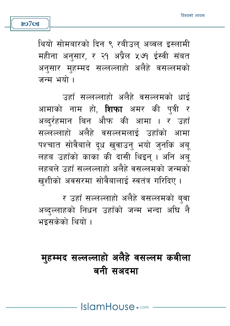थियो सोमबारको दिन ९ रबीउल अव्वल इस्लामी महीना अनुसार, र २१ अप्रैल ५७१ ईस्वी संबत अनसार महम्मद सल्लल्लाहो अलैहे वसल्लमको जन्म भयो ।

**80708** 

उहाँ सल्लल्लाहो अलैहे वसल्लमको धाई आमाको नाम हो. **शिफा** अमर की पत्री र अब्दुर्रहमान बिन औफ की आमा । र उहाँ सल्लल्लाहो अलैहे वसल्लमलाई उहाँको आमा पश्चात सोवैबाले दध खवाउन भयो जनकि अब लहब उहाँको काका की दासी थिइन् । अनि अब् लहबले उहाँ सल्लल्लाहो अलैहे वसल्लमको जन्मको खशीको अवसरमा सोवैबालाई स्वतंत्र गरिदिए ।

र उहाँ सल्लल्लाहो अलैहे वसल्लमको बुवा अब्दुल्लाहको निधन उहाँको जन्म भन्दा अघि नै भइसकेको थियो ।

## महम्मद सल्लल्लाहो अलैहे वसल्लम कबीला बनी सअदमा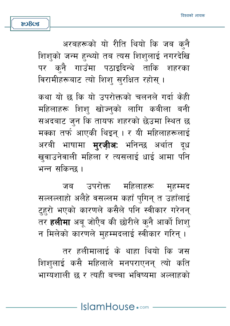अरबहरूको यो रीति थियो कि जब क्नै शिशुको जन्म हुन्थ्यो तब त्यस शिशुलाई नगरदेखि पर कनै गाउँमा पठाइदिन्थे ताकि शहरका विरामीहरूबाट त्यो शिश सुरक्षित रहोस् ।

कथा यो छ कि यो उपरोक्तको चलनले गर्दा केही महिलाहरू शिश खोज्नको लागि कबीला बनी सअदबाट जन कि तायफ शहरको छेउमा स्थित छ मक्का तर्फ आएकी थिइन् । र यी महिलाहरूलाई अरबी भाषामा **म्<b>रजीअ**: भनिन्छ अर्थात दुध खवाउनेवाली महिला र त्यसलाई धाई आमा पनि भन्न सकिन्छ ।

जब उपरोक्त महिलाहरू महम्मद सल्लल्लाहो अलैहे वसल्लम कहाँ पुगिन् त उहाँलाई टहरो भएको कारणले कसैले पनि स्वीकार गरेनन् तर **हलीमा** अबू जोऐैब की छोरीले क्**नै आर्को शिश्** न मिलेको कारणले मुहम्मदलाई स्वीकार गरिन् ।

तर हलीमालाई के थाहा थियो कि जस शिशलाई कसै महिलाले मनपराएनन त्यो कति भाग्यशाली छ र त्यही बच्चा भविष्यमा अल्लाहको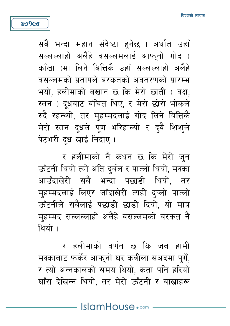सबै भन्दा महान संदेष्टा हनेछ । अर्थात उहाँ सल्लल्लाहो अलैहे वसल्लमलाई आफनो गोद ( काँखा )मा लिने बित्तिकै उहाँ सल्लल्लाहो अलैहे वसल्लमको पतापले बरकतको अवतरणको पारम्भ भयो. हलीमाको बखान छ कि मेरो छाती ( वक्ष. स्तन) दधबाट वंचित थिए, र मेरो छोरो भोकले रुदै रहन्थ्यो. तर महम्मदलाई गोद लिने बित्तिकै मेरो स्तन दुधले पूर्ण भरिहाल्यो र दुवै शिशुले पेटभरी दध खाई निद्राए।

**809cg** 

र हलीमाको नै कथन छ कि मेरो जुन ऊँटनी थियो त्यो अति दर्बल र पात्लो थियो. मक्का आउँदाखेरी सबै भन्दा पछाडी थियो. तर महम्मदलाई लिएर जाँदाखेरी त्यही दब्लो पात्लो ऊँटनीले सबैलाई पछाडी छाडी दियो. यो मात्र महम्मद सल्लल्लाहो अलैहे वसल्लमको बरकत नै थियो ।

र हलीमाको वर्णन छ कि जब हामी मक्काबाट फर्केर आफुनो घर कबीला सअदमा पुगैं, र त्यो अन्नकालको समय थियो, कता पनि हरियो घाँस देखिन्न थियो. तर मेरो ऊँटनी र बाखाहरू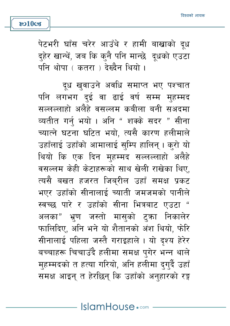पेटभरी घाँस चरेर आउँथे र हामी बाखाको दूध द्हेर खान्थें, जब कि क्नै पनि मान्छे दूधको एउटा पनि थोपा ( कतरा ) देख्दैन थियो ।

दुध खवाउने अवधि समाप्त भए पश्चात पनि लगभग दई वा ढाई वर्ष सम्म मुहम्मद सल्लल्लाहो अलैहे वसल्लम कबीला बनी सअदमा व्यतीत गर्नु भयो। अनि "शक्के सदर " सीना च्यात्ने घटना घटित भयो, त्यसै कारण हलीमाले उहाँलाई उहाँको आमालाई सुम्पि हालिन् । कुरो यो थियो कि एक दिन मुहम्मद सल्लल्लाहो अलैहे वसल्लम केही केटाहरूको साथ खेली राखेका थिए. त्यसै बखत हजरत जिबरील उहाँ समक्ष प्रकट भएर उहाँको सीनालाई च्याती जमजमको पानीले स्वच्छ पारे र उहाँको सीना भित्रबाट एउटा " अलका" भ्रण जस्तो मासुको टुका निकालेर फालिदिए, अनि भने यो शैतानको अंश थियो, फेरि सीनालाई पहिला जस्तै गराइहाले । यो दृश्य हेरेर बच्चाहरू चिचाउँदै हलीमा समक्ष पगेर भन्न थाले मुहम्मदको त हत्या गरियो, अनि हलीमा दुगुर्दै उहाँ समक्ष आइन् त हेरछिन् कि उहाँको अनुहारको रङ्ग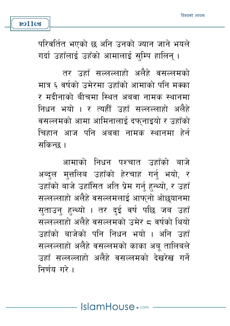परिवर्तित भएको छ अनि उनको ज्यान जाने भयले गर्दा उहाँलाई उहँको आमालाई सुम्पि हालिन् ।

**801103** 

तर उहाँ सल्लल्लाहो अलैहे वसल्लमको मात्र ६ वर्षको उमेरमा उहाँको आमाको पनि मक्का र मदीनाको बीचमा स्थित अबवा नामक स्थानमा निधन भयो । र त्यहीँ उहाँ सल्लल्लाहो अलैहे वसल्लमको आमा आमिनालाई दफनाइयो र उहाँको चिहान आज पनि अबवा नामक स्थानमा हेर्न सकिन्छ ।

आमाको निधन पश्चात उहाँको बाजे अब्दुल मुत्तलिब उहाँको हेरचाह गर्नु भयो, र उहाँको बाजे उहाँसित अति प्रेम गर्न हुन्थ्यो, र उहाँ सल्लल्लाहो अलैहे वसल्लमलाई आफ्नो ओछयानमा सताउन हन्थ्यो । तर दई वर्ष पछि जब उहाँ सल्लल्लाहो अलैहे वसल्लमको उमेर ८ वर्षको थियो उहाँको बाजेको पनि निधन भयो । अनि उहाँ सल्लल्लाहो अलैहे वसल्लमको काका अबु तालिबले उहाँ सल्लल्लाहो अलैहे वसल्लमको देखरेख गर्ने निर्णय गरे।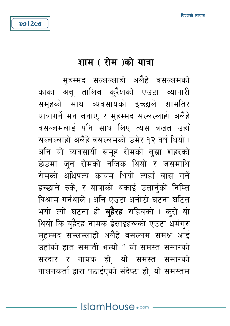#### शाम (रोम)को यात्रा

**&o12cg** 

महम्मद सल्लल्लाहो अलैहे वसल्लमको काका अब तालिब करैशको एउटा व्यापारी समूहको साथ व्यवसायको इच्छाले शामतिर यात्रागर्ने मन बनाए, र मुहम्मद सल्लल्लाहो अलैहे वसल्लमलाई पनि साथ लिए त्यस बखत उहाँ सल्लल्लाहो अलैहे वसल्लमको उमेर १२ वर्ष थियो । अनि यो व्यवसायी समूह रोमको बुस्रा शहरको छेउमा जन रोमको नजिक थियो र जसमाथि रोमको अधिपत्य कायम थियो त्यहाँ बास गर्ने इच्छाले रुके, र यात्राको थकाई उतार्नुको निम्ति विश्राम गर्नथाले । अनि एउटा अनोठो घटना घटित भयो त्यो घटना हो **बहैरह** राहिबको । करो यो थियो कि बहैरह नामक ईसाईहरूको एउटा धर्मगुरु मुहम्मद सल्लल्लाहो अलैहे वसल्लम समक्ष आई उहाँको हात समाती भन्यो " यो समस्त संसारको सरदार र नायक हो, यो समस्त संसारको पालनकर्ता द्वारा पठाईएको संदेष्टा हो. यो समस्तम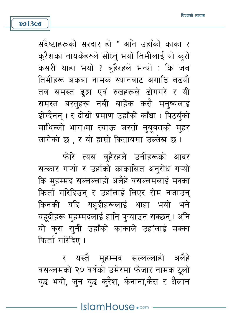संदेष्टाहरूको सरदार हो " अनि उहाँको काका र क्रैशका नायकेहरुले सोध्नु भयो तिमीलाई यो कुरो कसरी थाहा भयो ? ब्हैरहले भन्यो : कि जब तिमीहरू अकबा नामक स्थानबाट अगाडि बढयौ तब समस्त ढङ्गा एवं रुखहरूले ढोगगरे र यी समस्त वस्तुहरू नबी बाहेक कसै मनुष्यलाई ढोग्दैनन । र दोस्रो प्रमाण उहाँको काँधा (पिठयँको माथिल्लो भाग)मा स्याऊ जस्तो नुबुवतको मुहर लागेको छ . र यो हाम्रो किताबमा उल्लेख छ ।

फोरि त्यस बहैरहले उनीहरूको आदर सत्कार गऱ्यो र उहाँको काकासित अनरोध गऱ्यो कि महम्मद सल्लल्लाहो अलैहे वसल्लमलाई मक्का फिर्ता गरिदिउन र उहाँलाई लिएर रोम नजाउन किनकी यदि यहूदीहरूलाई थाहा भयो भने यहदीहरू मुहम्मदलाई हानि पुऱ्याउन सक्छन् । अनि यो करा सनी उहाँको काकाले उहाँलाई मक्का फिर्ता गरिदिए ।

र यस्तै महम्मद सल्लल्लाहो अलैहे वसल्लमको २० वर्षको उमेरमा फेजार नामक ठूलो युद्ध भयो, जुन युद्ध कुरैश, केनाना,कैस र अैलान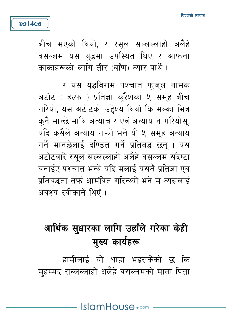बीच भएको थियो, र रसल सल्लल्लाहो अलैहे वसल्लम यस युद्धमा उपस्थित थिए र आफना काकाहरूको लागि तीर (बाँण) त्यार पार्थे ।

**ষ্ঠা**4ত্যে

र यस युद्धविराम पश्चात फ्जूल नामक अटोट ( हल्फ ) प्रतिज्ञा करैशका ५ समूह बीच गरियो, यस अटोटको उद्देश्य थियो कि मक्का भित्र कनै मान्छे माथि अत्याचार एवं अन्याय न गरियोस्, यदि कसैले अन्याय गऱ्यो भने यी ५ समूह अन्याय गर्ने मानछेलाई दण्डित गर्ने प्रतिबद्ध छन् । यस अटोटबारे रसुल सल्लल्लाहो अलैहे वसल्लम संदेष्टा बनाईए पश्चात भन्थे यदि मलाई यसतै प्रतिज्ञा एवं पतिबद्धता तर्फ आमंत्रित गरिन्थ्यो भने म त्यसलाई अवश्य स्वीकार्ने थिएँ ।

# आर्थिक सुधारका लागि उहाँले गरेका केही मुख्य कार्यहरू

हामीलाई यो थाहा भइसकेको छ कि मुहम्मद सल्लल्लाहो अलैहे वसल्लमको माता पिता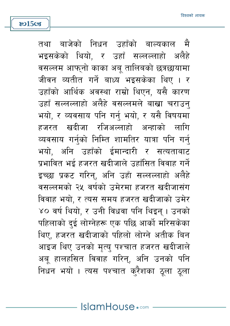्बाजेको निधन उहाँको बाल्यकाल मै तथा भइसकेको थियो. र उहाँ सल्लल्लाहो अलैहे वसल्लम आफनो काका अब तालिबको छत्रछायामा जीवन व्यतीत गर्ने बाध्य भइसकेका थिए । र उहाँको आर्थिक अवस्था राम्रो थिएन. यसै कारण उहाँ सल्लल्लाहो अलैहे वसल्लमले बाखा चराउन् भयो. र व्यवसाय पनि गर्न भयो. र यसै विषयमा हजरत खदीजा रजिअल्लाहो अन्हाको लागि व्यवसाय गर्नुको निम्ति शामतिर यात्रा पनि गर्नु भयो. अनि उहाँको ईमान्दारी र सत्यताबाट प्रभावित भई हजरत खदीजाले उहाँसित विवाह गर्ने इच्छा प्रकट गरिन्, अनि उहाँ सल्लल्लाहो अलैहे वसल्लमको २५ वर्षको उमेरमा हजरत खदीजासंग विवाह भयो. र त्यस समय हजरत खदीजाको उमेर ४० वर्ष थियो. र उनी विधवा पनि थिइन । उनको पहिलाको दई लोग्नेहरू एक पछि आर्को मरिसकेका थिए. हजरत खदीजाको पहिलो लोग्ने अतीक बिन आइज थिए उनको मृत्यु पश्चात हजरत खदीजाले अब् हालहसित विवाह गरिन्, अनि उनको पनि निधन भयो । त्यस पश्चात क्रैशका ठूला ठूला

**ষ্ঠ15** তের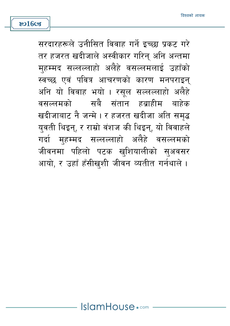सरदारहरूले उनीसित विवाह गर्ने इच्छा प्रकट गरे तर हजरत खदीजाले अस्वीकार गरिन् अनि अन्तमा महम्मद सल्लल्लाहो अलैहे वसल्लमलाई उहाँको स्वच्छ एवं पवित्र आचरणको कारण मनपराइन् अनि यो विवाह भयो । रसल सल्लल्लाहो अलैहे वसल्लमको सबै संतान हबाहीम बाहेक खदीजाबाट नै जन्मे । र हजरत खदीजा अति समद्ध युवती थिइन्, र राम्रो वंशज की थिइन्, यो विवाहले गर्दा महम्मद सल्लल्लाहो अलैहे वसल्लमको जीवनमा पहिलो पटक खुशियालीको सुअवसर आयो, र उहाँ हँसीखशी जीवन व्यतीत गर्नथाले ।

**ষ্ঠ16ত্ত**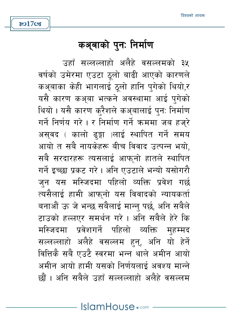## कअ्बाको पुनः निर्माण

उहाँ सल्लल्लाहो अलैहे वसल्लमको ३५ वर्षको उमेरमा एउटा ठूलो बाढी आएको कारणले कअबाका केही भागलाई ठलो हानि पुगेको थियो,र यसै कारण कअबा भत्कने अवस्थामा आई पगेको थियो । यसै कारण करैशले कअ़बालाई पुन: निर्माण गर्ने निर्णय गरे । र निर्माण गर्ने क्रममा जब हजुरे असुवद ( कालो ढुङ्गा )लाई स्थापित गर्ने समय आयो त सबै नायकेहरू बीच विवाद उत्पन्न भयो, सबै सरदारहरू त्यसलाई आफनो हातले स्थापित गर्ने इच्छा प्रकट गरे। अनि एउटाले भन्यो यसोगरौ जुन यस मस्जिदमा पहिलो व्यक्ति प्रवेश गर्छ त्यसैलाई हामी आफनो यस विवादको न्यायकर्ता बनाओं ऊ जे भन्छ सबैलाई मान्न पर्छ, अनि सबैले टाउको हल्लएर समर्थन गरे। अनि सबैले हेरे कि मस्जिदमा प्रवेशगर्ने पहिलो व्यक्ति महम्मद सल्लल्लाहो अलैहे वसल्लम हन, अनि यो हेर्ने वित्तिकै सबै एउटै स्वरमा भन्न थाले अमीन आयो अमीन आयो हामी यसको निर्णयलाई अवश्य मान्ने छौं । अनि सबैले उन्नाँ सल्लल्लाहो अलैहे वसल्लम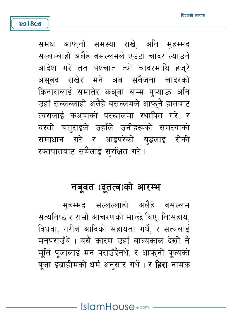समक्ष आफनो समस्या राखे, अनि महम्मद सल्लल्लाहो अलैहे वसल्लमले एउटा चादर ल्याउने आदेश गरे तत पश्चात त्यो चादरमाथि हजरे असवद राखेर भने अब सबैजना चादरको किनारालाई समातेर कअ़बा सम्म प्ऱ्याऊ अनि उहाँ सल्लल्लाहो अलैहे वसल्लमले आफनै हातबाट त्यसलाई कअबाको परखालमा स्थापित गरे. र यस्तो चतुराईले उहाँले उनीहरूको समस्याको समाधान गरे र आइपरेको युद्धलाई रोकी रक्तपातबाट सबैलाई सरक्षित गरे ।

## नबूवत (दूतत्व)को आरम्भ

महम्मद सल्लल्लाहो अलैहे वसल्लम सत्यनिष्ठ र राम्रो आचरणको मान्छे थिए, निःसहाय, विधवा. गरीब आदिको सहायता गर्थे, र सत्यलाई मनपराउँथे । यसै कारण उहाँ बाल्यकाल देखी नै मर्ति पजालाई मन पराउँदैनथे, र आफनो पज्यको पजा इब्राहीमको धर्म अनसार गर्थे। र **हिरा** नामक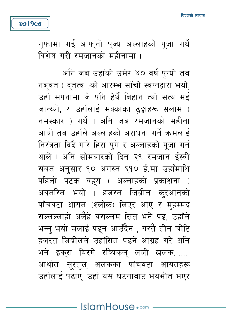गूफामा गई आफ्नो पूज्य अल्लाहको पूजा गर्थे विशेष गरी रमजानको महीनामा ।

**801903** 

अनि जब उहाँको उमेर ४० वर्ष पुग्यो तब नबवत ( दतत्व )को आरम्भ साँचो स्वप्नद्वारा भयो, उहाँ सपनामा जे पनि हेर्थे बिहान त्यो सत्य भई जान्थ्यो. र उहाँलाई मक्काका ढङ्गाहरू सलाम ( नमस्कार ) गर्थे । अनि जब रमजानको महीना आयो तब उहाँले अल्लाहको अराधना गर्ने ऋमलाई निरंत्रता दिदै गारे हिरा पगे र अल्लाहको पजा गर्न थाले । अनि सोमबारको दिन २९ रमजान ईस्वी संबत अनसार १० अगस्त ६१० ई.मा उहाँमाथि पहिलो पटक वहय ( अल्लाहको प्रकाशना ) अवतरित भयो । हजरत जिब्रील करआनको पाँचवटा आयत (श्लोक) लिएर आए र महम्मद सल्लल्लाहो अलैहे वसल्लम सित भने पढ, उहाँले भन्न भयो मलाई पढन आउँदैन , यस्तै तीन चोटि हजरत जिबीलले उहाँसित पढने आग्रह गरे अनि भने इकरा बिस्मे रब्बिकल लजी खलक......। आर्थात सूरत्**ल् अलकका पाँचवटा आयतह**रू उहाँलाई पढाए, उहाँ यस घटनाबाट भयभीत भएर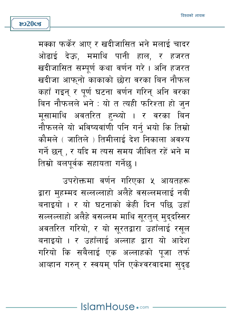मक्का फर्केर आए र खदीजासित भने मलाई चादर ओढाई देऊ, ममाथि पानी हाल, र हजरत खदीजासित सम्पर्ण कथा वर्णन गरे। अनि हजरत खदीजा आफुनो काकाको छोरा वरका बिन नौफल कहाँ गइन र पर्ण घटना वर्णन गरिन अनि वरका बिन नौफलले भने : यो त त्यही फरिश्ता हो जन मसामाथि अवतरित हन्थ्यो । र वरका बिन नौफलले यो भविष्यवांणी पनि गर्नु भयो कि तिम्रो कौमले ( जातिले ) तिमीलाई देश निकाला अवश्य गर्ने छन् , र यदि म त्यस समय जीवित रहें भने म तिम्रो बलपर्वक सहायता गर्नेछ ।

**ষ্ঠ20ত্ত** 

उपरोक्तमा वर्णन गरिएका ५ आयतहरू द्वारा महम्मद सल्लल्लाहो अलैहे वसल्लमलाई नबी बनाइयो । र यो घटनाको केही दिन पछि उहाँ सल्लल्लाहो अलैहे वसल्लम माथि सूरतुल् मुद्दस्सिर अवतरित गरियो, र यो सूरतद्वारा उहाँलाई रसूल बनाइयो । र उहाँलाई अल्लाह द्वारा यो आदेश गरियो कि सबैलाई एक अल्लाहको पूजा तर्फ आव्हान गरुन् र स्वयम् पनि एकेश्वरवादमा सुदुढ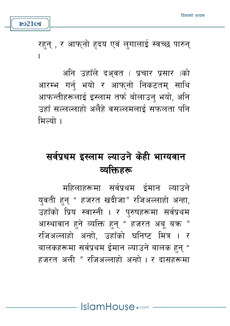

रहन् , र आफ्नो हृदय एवं लुगालाई स्वच्छ पारुन्  $\overline{\phantom{a}}$ 

अनि उहाँले दअवत ( प्रचार प्रसार )को आरम्भ गर्न भयो र आफुनो निकटतम् साथि आफन्तीहरूलाई इस्लाम तर्फ बोलाउन् भयो, अनि उहाँ सल्लल्लाहो अलैहे वसल्लमलाई सफलता पनि ਸ਼ਿਕਸ਼ੇ ।

# सर्वप्रथम इस्लाम ल्याउने केही भाग्यवान व्यक्तिहरू

महिलाहरूमा सर्वप्रथम ईमान ल्याउने युवती हुन् " हजरत खदीजा" रजिअल्लाहो अन्हा, उहाँको प्रिय स्वास्नी । र परुषहरूमा सर्वप्रथम आस्थावान हुने व्यक्ति हुनु " हजरत अब बक्र " रजिअल्लाहो अन्हो, उहाँको घनिष्ट मित्र । र बालकहरूमा सर्वप्रथम ईमान ल्याउने बालक हुनु " हजरत अली " रजिअल्लाहो अन्हो । र दासहरूमा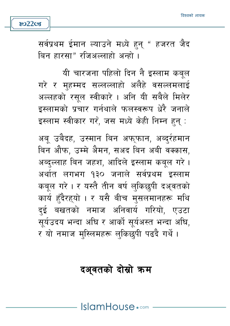## दअ्वतको दोस्रो कम

अब उबैदह, उस्मान बिन अफफान, अब्दर्रहमान बिन औफ. उम्मे अैमन, सअद बिन अबी वक्कास, अब्दल्लाह बिन जहश, आदिले इस्लाम कबल गरे। अर्थात लगभग १३० जनाले सर्वप्रथम इस्लाम कबल गरे। र यस्तै तीन वर्ष लकिछपी दअवतको कार्य हँदैरहयो । र यसै बीच मुसलमानहरू मथि दुई बखतको नमाज अनिवार्य गरियो, एउटा सुर्यउदय भन्दा अघि र आर्को सुर्यअस्त भन्दा अघि, र यो नमाज मुस्लिमहरू लुकिछपी पढदै गर्थे।

यी चारजना पहिलो दिन नै इस्लाम कबुल गरे र महम्मद सल्लल्लाहो अलैहे वसल्लमलाई अल्लहको रसुल स्वीकारे । अनि यी सबैले मिलेर दस्लामको पचार गर्नथाले फलस्वरूप धेरै जनाले इस्लाम स्वीकार गरे, जस मध्ये केही निम्न हुन्:

**802208**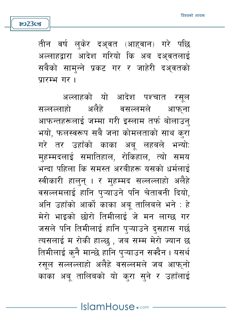तीन वर्ष लकेर दअवत (आहवान) गरे पछि अल्लाहद्वारा आदेश गरियो कि अब दअवतलाई सबैको सामन्ने प्रकट गर र जाहेरी दअवतको पारम्भ गर।

හ23**cs** 

अल्लाहको यो आदेश पश्चात रसूल सल्लल्लाहो अलैहे वसल्लमले आफ्ना आफन्तहरूलाई जम्मा गरी इस्लाम तर्फ बोलाउन् भयो, फलस्वरूप सबै जना कोमलताको साथ क्रा गरे तर उहाँको काका अब लहबले भन्यो: मुहम्मदलाई समातिहाल, रोकिहाल, त्यो समय भन्दा पहिला कि समस्त अरबीहरू यसको धर्मलाई स्वीकारी हाल्न् । र म्हम्मद सल्लल्लाहो अलैहे वसल्लमलाई हानि प्ऱ्याउने पनि चेतावनी दियो. अनि उहाँको आर्को काका अब तालिबले भने : हे मेरो भाइको छोरो तिमीलाई जे मन लाग्छ गर जसले पनि तिमीलाई हानि पऱ्याउने दसहास गर्छ त्यसलाई म रोकी हाल्छु , जब सम्म मेरो ज्यान छ तिमीलाई कनै मान्छे हानि पऱ्याउन सक्दैन । यसर्थ रसुल सल्लल्लाहो अलैहे वसल्लमले जब आफुनो काका अबू तालिबको यो कुरा सुने र उहाँलाई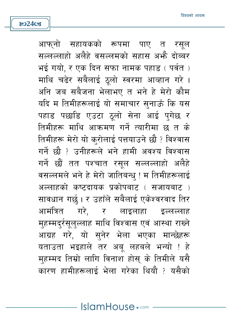**ষ্ঠ24ত্যে** 

आफुनो सहायकको रूपमा पाए त रसल सल्लल्लाहो अलैहे वसल्लमको सहास अभै दोब्बर भई गयो. र एक दिन सफा नामक पहाड़ ( पर्वत) माथि चढेर सबैलाई ठलो स्वरमा आव्हान गरे। अनि जब सबैजना भेलाभए त भने हे मेरो कौम यदि म तिमीहरूलाई यो समाचार सुनाऊँ कि यस पहाड पछाडि एउटा ठूलो सेना आई प्गेछ र तिमीहरू माथि आक्रमण गर्ने त्यारीमा छ त के तिमीहरू मेरो यो कुरोलाई पत्तयाउने छौ ? विश्वास गर्ने छौ ? उनीहरूले भने हामी अवश्य विश्वास गर्ने छौं तत पश्चात रसुल सल्लल्लाहो अलैहे वसल्लमले भने हे मेरो जातिबन्ध ! म तिमीहरूलाई अल्लाहको कष्टदायक प्रकोपबाट ( सजायबाट ) सावधान गर्छ । र उहाँले सबैलाई एकेश्वरवाद तिर आमंत्रित गरे. र लाइलाहा इल्लल्ला**ह** महम्मदर्रसलल्लाह माथि विश्वास एवं आस्था राख्ने आग्रह गरे, यो सनेर भेला भएका मान्छेहरू यताउता भइहाले तर अबू लहबले भन्यो ! हे मुहम्मद तिम्रो लागि विनाश होसु के तिमीले यसै कारण हामीहरूलाई भेला गरेका थियौ ? यसैको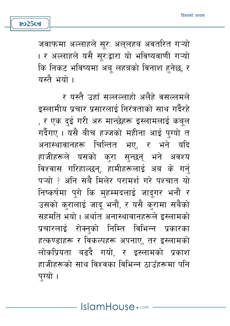जवाफमा अल्लाहले सर: अलुलहब अवतरित गऱ्यो । र अल्लाहले यसै सुरःद्वारा यो भविष्यवाणी गऱ्यो कि निकट भविष्यमा अब लहबको विनाश हनेछ, र यस्तै भयो ।

හ25**cs** 

र यस्तै उहाँ सल्लल्लाहो अलैहे वसल्लमले इस्लामीय प्रचार प्रसारलाई निरंत्रताको साथ गर्दैरहे , र एक दुई गरी अरु मान्छेहरू इस्लामलाई कबूल गर्दैगए । यसै बीच हज्जको महीना आई पुग्यो त अनास्थावानहरू चिन्तित भए, र भने यदि हाजीहरूले यसको करा सुन्छन् भने अवश्य विश्वास गरिहाल्छन, हामीहरूलाई अब के गर्न पऱ्यो ? अनि सबै मिलेर परामर्श गरे पश्चात यो निष्कर्षमा पगे कि महम्मदलाई जादगर भनौं र उसको करालाई जाद भनौं, र यसै करामा सबैको सहमति भयो । अर्थात अनास्थावानहरूले इस्लामको प्रचारलाई रोक्नको निम्ति विभिन्न प्रकारका हत्कण्डाहरू र विकल्पहरू अपनाए, तर इस्लामको लोकप्रियता बढदै गयो, र इस्लामको प्रकाश हाजीहरूको साथ विश्वका विभिन्न ठाउँहरूमा पनि पग्यो ।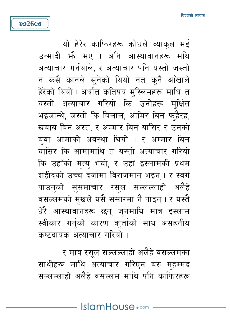**ষ্ঠ26cg** 

यो हेरेर काफिरहरू कोधले व्याकल भई उन्मादी भेै भए । अनि आस्थावानहरू मथि अत्याचार गर्नथाले. र अत्याचार पनि यस्तो जस्तो न कसै कानले सुनेको थियो नत कनै आँखाले हेरेको थियो। अर्थात कतिपय मस्लिमहरू माथि त यस्तो अत्याचार गरियो कि उनीहरू मुर्क्षित भइजान्थे. जस्तो कि बिलाल. आमिर बिन फहैरह. खबाब बिन अरत, र अम्मार बिन यासिर र उनको बवा आमाको अवस्था थियो । र अम्मार बिन यासिर कि आमामाथि त यस्तो अत्याचार गरियो कि उहाँको मृत्यु भयो, र उहाँ इस्लामकी प्रथम शहीदको उच्च दर्जामा विराजमान भइन् । र स्वर्ग पाउन्को सुसमाचार रसूल सल्लल्लाहो अलैहे वसल्लमको मुखले यसै संसारमा नै पाइन् । र यस्तै धेरै आस्थावानहरू छन् जुनमाथि मात्र इस्लाम स्वीकार गर्नुको कारण क्रुर्ताको साथ असहनीय कष्टदायक अत्याचार गरियो ।

र मात्र रसल सल्लल्लाहो अलैहे वसल्लमका साथीहरू माथि अत्याचार गरिएन बरु मुहम्मद सल्लल्लाहो अलैहे वसल्लम माथि पनि काफिरहरू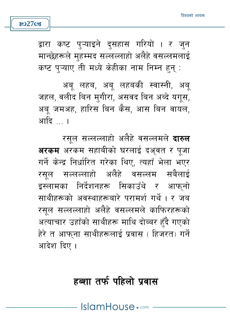

 $8027$ Cs

अब लहब, अब लहबकी स्वास्नी, अब जहल, वलीद बिन मगीरा, असवद बिन अब्दे यगुस, अब जमअह, हारिस बिन कैस, आस बिन वायल, आदि … ।

रसल सल्लल्लाहो अलैहे वसल्लमले **दारुल** अरकम अरकम सहाबीको घरलाई दअ़वत र पुजा गर्ने केन्द्र निर्धारित गरेका थिए, त्यहाँ भेला भएर रसल सल्लल्लाहो अलैहे वसल्लम सबैलाई इस्लामका निर्देशनहरू सिकाउँथे र आफनो साथीहरूको अवस्थाहरूबारे परामर्श गर्थे। र जब रसुल सल्लल्लाहो अलैहे वसल्लमले काफिरहरूको अत्याचार उहाँको साथीहरू माथि दोब्बर हुँदै गएको हेरे त आफना साथीहरूलाई प्रवास ( हिजरत) गर्ने आदेश दिए ।

## हब्शा तर्फ पहिलो प्रवास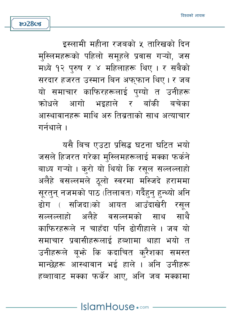इस्लामी महीना रजबको ५ तारिखको दिन मुस्लिमहरूको पहिलो समूहले प्रवास गऱ्यो, जस मध्ये १२ पुरुष र ४ महिलाहरू थिए । र सबैको सरदार हजरत उस्मान बिन अफफान थिए। र जब यो समाचार काफिरहरूलाई पग्यो त उनीहरू कोधले आगो भइहाले र बाँकी बचेका आस्थावानहरू माथि अरु तिब्रताको साथ अत्याचार

गर्नथाले ।

**ಜು28cg** 

यसै बिच एउटा प्रसिद्ध घटना घटित भयो जसले हिजरत गरेका मुस्लिमहरूलाई मक्का फर्कने बाध्य गऱ्यो । करो यो थियो कि रसल सल्लल्लाहो अलैहे वसल्लमले ठलो स्वरमा मस्जिदे हराममा सरतन नजमको पाठ (तिलावत) गर्दैहन हन्थ्यो अनि ढोग ( सजिदा)को आयत आउँदाखेरी रसल सल्लल्लाहो अलैहे वसल्लमको साथ साथै काफिरहरूले न चाहँदा पनि ढोगीहाले । जब यो समाचार प्रवासीहरूलाई हब्शामा थाहा भयो त उनीहरूले बभ्ते कि कदाचित करैशका समस्त मान्छेहरू आस्थावान भई हाले । अनि उनीहरू हब्शाबाट मक्का फर्केर आए, अनि जब मक्कामा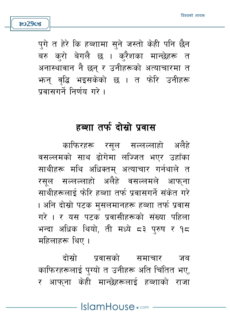पगे त हेरे कि हब्शामा सने जस्तो केही पनि छैन बरु करो बेगलै छ । क्रैशका मान्छेहरू त अनास्थावान नै छन र उनीहरूको अत्याचारमा त भ्रुन् वद्धि भइसकेको छ । त फोरे उनीहरू पवासगर्ने निर्णय गरे ।

**802908** 

### हब्शा तर्फ दोस्रो प्रवास

काफिरहरू रसूल सल्लल्लाहो अलैहे वसल्लमको साथ ढोगेमा लज्जित भएर उहाँका साथीहरू मथि अधिक्तम् अत्याचार गर्नथाले त रसल सल्लल्लाहो अलैहे वसल्लमले आफ्ना साथीहरूलाई फेरि हब्शा तर्फ प्रवासगर्ने संकेत गरे । अनि दोस्रो पटक मुसलमानहरू हब्शा तर्फ प्रवास गरे । र यस पटक प्रवासीहरूको संख्या पहिला भन्दा अधिक थियो, ती मध्ये ८३ पुरुष र १८ महिलाहरू थिए ।

ढोस्रो प्रवासको समाचार जब काफिरहरूलाई पुग्यो त उनीहरू अति चिंतित भए, र आफना केही मान्छेहरूलाई हब्शाको राजा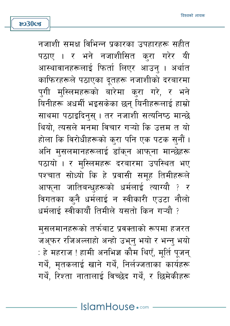मुसलमानहरूको तर्फबाट प्रवक्ताको रूपमा हजरत जअ्फर रजिअल्लाहो अन्हो उभ्नु भयो र भन्नु भयो : हे महराज ! हामी अनभिज्ञ कौम थिएँ, मूर्ति पूजन् गर्थै, मृतकलाई खाने गर्थै, निर्लज्जताका कार्यहरू गर्थें, रिश्ता नातालाई विच्छेद गर्थें, र छिमेकीहरू

नजाशी समक्ष विभिन्न प्रकारका उपहारहरू सहीत पठाए । र भने नजाशीसित करा गरेर यी आस्थावानहरूलाई फिर्ता लिएर आउन् । अर्थात काफिरहरूले पठाएका दूतहरू नजाशीको दरबारमा पुगी मुस्लिमहरूको बारेमा कुरा गरे, र भने यिनीहरू अधर्मी भइसकेका छन् यिनीहरूलाई हाम्रो साथमा पठाइदिनस। तर नजाशी सत्यनिष्ठ मान्छे थियो, त्यसले मनमा विचार गऱ्यो कि उत्तम त यो होला कि विरोधीहरूको कुरा पनि एक पटक सुनौं । अनि मुसलमानहरूलाई डाँक्न आफ्ना मान्छेहरू पठायो । र मस्लिमहरू दरबारमा उपस्थित भए पश्चात सोध्यो कि हे प्रवासी समुह तिमीहरूले आफ्ना जातिबन्धृहरूको धर्मलाई त्याग्यौ ? र विगतका कनै धर्मलाई न स्वीकारी एउटा नौलो धर्मलाई स्वीकार्यौ तिमीले यसतो किन गऱ्यौ ?

**8030cg**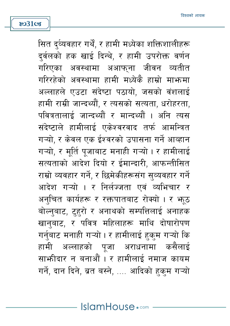सित द्व्यिवहार गर्थै, र हामी मध्येका शक्तिशालीहरू दर्वलको हक खाई दिन्थे. र हामी उपरोक्त वर्णन गरिएका अवस्थामा अआफना जीवन व्यतीत गरिरहेको अवस्थामा हामी मध्येकै हाम्रो माभ्रुमा अल्लाहले एउटा संदेष्टा पठायो. जसको वंशलाई हामी राम्री जान्दथ्यौं, र त्यसको सत्यता, धरोहरता, पवित्रतालाई जान्दथ्यौं र मान्दथ्यौं । अनि त्यस संदेष्टाले हामीलाई एकेश्वरवाद तर्फ आमन्त्रित गऱ्यो. र केवल एक ईश्वरको उपासना गर्ने आव्हान गऱ्यो, र मूर्ति पूजाबाट मनाही गऱ्यो । र हामीलाई सत्यताको आदेश दियो र ईमान्दारी, आफन्तीसित राम्रो व्यवहार गर्ने, र छिमेकीहरूसंग सुव्यवहार गर्ने आदेश गऱ्यो । र निर्लज्जता एवं व्यभिचार र अनुचित कार्यहरू र रक्तपातबाट रोक्यो । र भठूठ बोल्नुबाट, टुहरो र अनाथको सम्पत्तिलाई अनाहक खानबाट, र पवित्र महिलाहरू माथि दोषारोपण गर्नबाट मनाही गऱ्यो । र हामीलाई हकम गऱ्यो कि हामी अल्लाहको पूजा अराधनामा कसैलाई साफ़ीदार न बनाओं । र हामीलाई नमाज कायम गर्ने, दान दिने, ब्रत बस्ने, .... आदिको हकुम गऱ्यो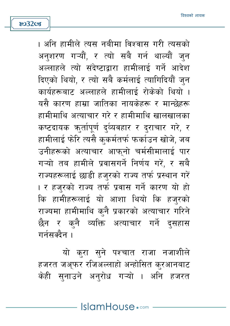හ32cs

। अनि हामीले त्यस नबीमा विश्वास गरी त्यसको अन्शरण गऱ्यौं, र त्यो सबै गर्न थाल्यौं जुन अल्लाहले त्यो संदेष्टादारा हामीलाई गर्ने आदेश दिएको थियो, र त्यो सबै कर्मलाई त्यागिदियौं जन कार्यहरूबाट अल्लाहले हामीलार्द रोकेको थियो । यसै कारण हाम्रा जातिका नायकेहरू र मान्छेहरू हामीमाथि अत्याचार गरे र हामीमाथि खालखालका कष्टदायक कर्तापूर्ण दुव्यवहार र दराचार गरे, र हामीलाई फेरि त्यसै कुकर्मतर्फ फर्काउन खोजे, जब उनीहरूको अत्याचार आफनो चर्मसीमालाई पार गऱ्यो तब हामीले प्रवासगर्ने निर्णय गरें, र सबै राज्यहरूलाई छाडी हजरको राज्य तर्फ प्रस्थान गरें । र हजुरको राज्य तर्फ प्रवास गर्ने कारण यो हो कि हामीहरूलाई यो आशा थियो कि हजुरको राज्यमा हामीमाथि कुनै प्रकारको अत्याचार गरिने छैन र कनै व्यक्ति अत्याचार गर्ने दसहास गर्नसक्दैन ।

यो करा सुने पश्चात राजा नजाशीले हजरत जअ़फर रजिअल्लाहो अन्होसित करआनबाट केही सनाउने अनरोध गऱ्यो । अनि हजरत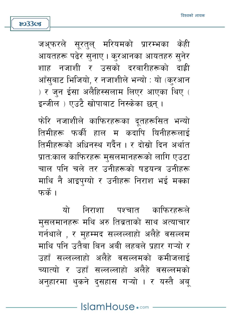जअ्फरले सूरत्**ल् मरियमको प्रारम्भका केही** आयतहरू पढेर सुनाए । करआनका आयतहरु सुनेर शाह नजाशी र उसको दरबारीहरूको दाही आँसुबाट भिजियो, र नजाशीले भन्यो : यो (क्रआन ) र जुन ईसा अलैहिस्सलाम लिएर आएका थिए ( इन्जील ) एउटै खोपाबाट निस्केका छन् ।

හ33**cs** 

फोरि नजाशीले काफिरहरूका दूतहरूसित भन्यो तिमीहरू फर्की हाल म कदापि यिनीहरूलाई तिमीहरूको अधिनस्थ गर्दैन । र दोस्रो दिन अर्थात प्रातःकाल काफिरहरू मुसलमानहरूको लागि एउटा चाल पनि चले तर उनीहरूको षडयन्त्र उनीहरू माथि नै आइपग्यो र उनीहरू निराश भई मक्का फर्के ।

यो **- निराशा पश्चात काफिरहरू**ले मुसलमानहरू मथि अरु तिब्रताको साथ अत्याचार गर्नथाले , र महम्मद सल्लल्लाहो अलैहे वसल्लम माथि पनि उतैबा बिन अबी लहबले प्रहार गऱ्यो र उहाँ सल्लल्लाहो अलैहे वसल्लमको कमीजलाई च्यात्यो र उहाँ सल्लल्लाहो अलैहे वसल्लमको अनुहारमा थुकने दुसहास गऱ्यो । र यस्तै अब्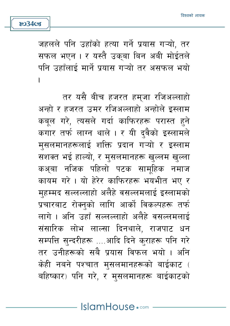जहलले पनि उहाँको हत्या गर्ने प्रयास गऱ्यो, तर सफल भएन । र यस्तै उक्बा बिन अबी मोईतले पनि उहाँलाई मार्ने प्रयास गऱ्यो तर असफल भयो I

**ষ্ঠ34s** 

तर यसै बीच हजरत हम्जा रजिअल्लाहो अन्हो र हजरत उमर रजिअल्लाहो अन्होले इस्लाम कबूल गरे, त्यसले गर्दा काफिरहरू परास्त हुने कगार तर्फ लाग्न थाले । र यी दुवैको इस्लामले मसलमानहरूलाई शक्ति प्रदान गऱ्यो र इस्लाम सशक्त भई हाल्यो, र मुसलमानहरू खुल्लम खुल्ला कअबा नजिक पहिलो पटक सामहिक नमाज कायम गरे । यो हेरेर काफिरहरू भयभीत भए र महम्मद सल्लल्लाहो अलैहे वसल्लमलाई इस्लामको प्रचारबाट रोक्नुको लागि आर्को विकल्पहरू तर्फ लागे । अनि उहाँ सल्लल्लाहो अलैहे वसल्लमलाई संसारिक लोभ लाल्सा दिनथाले, राजपाट धन सम्पत्ति सुन्दरीहरू ....आदि दिने कुराहरू पनि गरे तर उनीहरूको सबै प्रयास विफल भयो । अनि केही नबने पश्चात मुसलमानहरूको बाईकाट ( बहिष्कार) पनि गरे, र मसलमानहरू बाईकाटको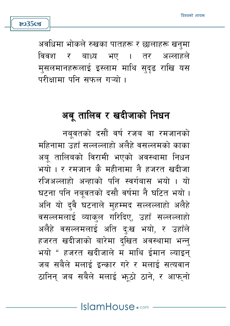अवधिमा भोकले रुखका पातहरू र छालाहरू खनुमा विवश र बाध्य भए । तर अल्लाहले मसलमानहरूलाई इस्लाम माथि सदृढ राखि यस परीक्षामा पनि सफल गऱ्यो ।

හ35**cs** 

### अबु तालिब र खदीजाको निधन

नबुवतको दसौं वर्ष रजब वा रमजानको महिनामा उहाँ सल्लल्लाहो अलैहे वसल्लमको काका अबु तालिबको विरामी भएको अवस्थामा निधन भयो । र रमजान कै महीनामा नै हजरत खदीजा रजिअल्लाहो अन्हाको पनि स्वर्गबास भयो । यो घटना पनि नबुवतको दसौ वर्षमा नै घटित भयो। अनि यो दवै घटनाले महम्मद सल्लल्लाहो अलैहे वसल्लमलाई व्याकल गरिदिए. उहाँ सल्लल्लाहो अलैहे वसल्लमलाई अति द:ख भयो, र उहाँले हजरत खदीजाको बारेमा दखित अवस्थामा भन्न भयो " हजरत खदीजाले म माथि ईमान ल्याइन जब सबैले मलाई इन्कार गरे र मलाई सत्यवान ठानिन जब सबैले मलाई भठो ठाने, र आफनो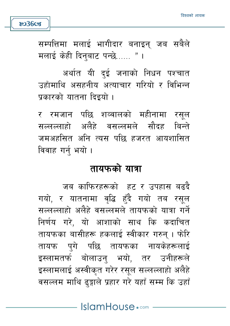सम्पत्तिमा मलाई भागीदार बनाइन् जब सबैले मलाई केही दिनुबाट पन्छे...... "।

**ಜು36cg** 

अर्थात यी दुई जनाको निधन पश्चात उहाँमाथि असहनीय अत्याचार गरियो र विभिन्न प्रकारको यातना दिइयो ।

र रमजान पछि शव्वालको महीनामा रसुल सल्लल्लाहो अलैहे वसल्लमले सौदह बिन्ते जमअहसित अनि त्यस पछि हजरत आयशासित विवाह गर्न् भयो ।

#### तायफको यात्रा

जब काफिरहरूको हट र उपहास बढदै गयो, र यातनामा वद्धि हँदै गयो तब रसल सल्लल्लाहो अलैहे वसल्लमले तायफको यात्रा गर्ने निर्णय गरे, यो आशाको साथ कि कदाचित तायफका बासीहरू हकलाई स्वीकार गरुन् । फेरि तायफ पगे पछि तायफका नायकेहरूलाई इस्लामतर्फ बोलाउन् भयो, तर उनीहरूले इस्लामलाई अस्वीकृत गरेर रसूल सल्लल्लाहो अलैहे वसल्लम माथि ढङ्गाले प्रहार गरे यहाँ सम्म कि उहाँ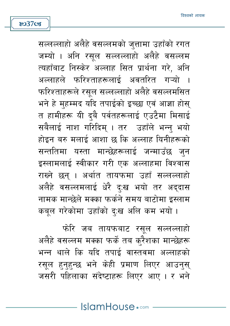IslamHouse.com

फोरे जब तायफबाट रसूल सल्लल्लाहो अलैहे वसल्लम मक्का फर्के तब करैशका मान्छेहरू भन्न थाले कि यदि तपाई वास्तवमा अल्लाहको रसुल हुनुहुन्छ भने केही प्रमाण लिएर आउनुस् जसरी पहिलाका संदेष्टाहरू लिएर आए। र भने

सल्लल्लाहो अलैहे वसल्लमको जुत्तामा उहाँको रगत जम्यो । अनि रसूल सल्लल्लाहो अलैहे वसल्लम त्यहाँबाट निस्केर अल्लाह सित प्रार्थना गरे. अनि अल्लाहले फरिश्ताहरूलाई अवतरित गऱ्यो फरिश्ताहरूले रसूल सल्लल्लाहो अलैहे वसल्लमसित भने हे महम्मद यदि तपाईको इच्छा एवं आज्ञा होस् त हामीहरू यी दबै पर्वतहरूलाई एउटैमा मिसाई सबैलाई नाश गरिदिम् । तर उहाँले भन्न् भयो होइन बरु मलाई आशा छ कि अल्लाह यिनीहरूको सन्ततिमा यस्ता मान्छेहरूलाई जन्माउँछ जन इस्लामलाई स्वीकार गरी एक अल्लाहमा विश्वास राख्ने छन् । अर्थात तायफमा उहाँ सल्लल्लाहो अलैहे वसल्लमलाई धेरै द:ख भयो तर अद्दास नामक मान्छेले मक्का फर्कने समय बाटोमा इस्लाम कबूल गरेकोमा उहाँको द:ख अलि कम भयो ।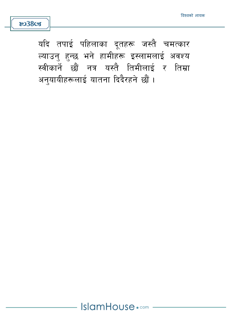यदि तपाई पहिलाका दूतहरू जस्तै चमत्कार ल्याउनु हुन्छ भने हामीहरू इस्लामलाई अवश्य स्वीकार्ने छौं नत्र यस्तै तिमीलाई र तिम्रा अन्यायीहरूलाई यातना दिदैरहने छौं।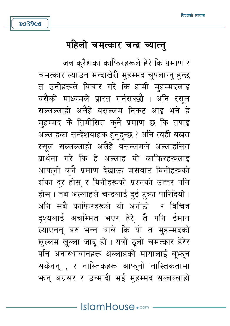#### IslamHouse.com

जब करैशका काफिरहरूले हेरे कि प्रमाण र चमत्कार ल्याउन भन्दाखेरी मुहम्मद चुपलाग्नु हुन्छ त उनीहरूले विचार गरे कि हामी महम्मदलाई यसैको माध्यमले प्रास्त गर्नसक्छौ । अनि रसल सल्लल्लाहो अलैहे वसल्लम निकट आई भने हे मुहम्मद के तिमीसित क्नै प्रमाण छ कि तपाई अल्लाहका सन्देशवाहक हुनुहुन्छ ? अनि त्यही बखत रसुल सल्लल्लाहो अलैहे वसल्लमले अल्लाहसित प्रार्थना गरे कि हे अल्लाह यी काफिरहरूलाई आफ्नो क्नै प्रमाण देखाऊ जसबाट यिनीहरूको शंका दर होस र यिनीहरूको प्रश्नको उत्तर पनि होस । तब अल्लाहले चन्द्रलाई दई टका पारिदियो । अनि सबै काफिरहरूले यो अनोठो र विचित्र दश्यलाई अचम्भित भएर हेरे. तै पनि ईमान ल्याएनन् बरु भन्न थाले कि यो त मुहम्मदको खल्लम खल्ला जाद हो। यत्रो ठलो चमत्कार हेरेर पनि अनास्थावानहरू अल्लाहको मायालाई बभून सकेनन् , र नास्तिकहरू आफ्**नो नास्तिकतामा** भन्न अग्रसर र उन्मादी भई महम्मद सल्लल्लाहो

पहिलो चमत्कार चन्द्र च्यात्न्

**803908**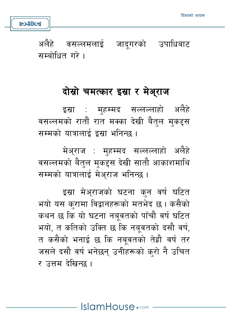$8040$ cz

अलैहे वसल्लमलाई जाद्गरको उपाधिबाट सम्बोधित गरे ।

### दोस्रो चमत्कार इस्रा र मेअ्राज

इस्रा : महम्मद सल्लल्लाहो अलैहे वसल्लमको रातौँ रात मक्का देखी बैतल मकदृस सम्मको यात्रालाई इस्रा भनिन्छ ।

मेअ्राज : महम्मद सल्लल्लाहो अलैहे वसल्लमको बैत्ल मुकद्दस देखी सातौ आकाशमाथि सम्मको यात्रालाई मेअराज भनिन्छ।

इस्रा मेअराजको घटना कुन वर्ष घटित भयो यस कुरामा विद्वानहरूको मतभेद छ। कसैको कथन छ कि यो घटना नबुवतको पाँचौ वर्ष घटित भयो, त कतिको उक्ति छ कि नबवतको दसौ वर्ष. त कसैको भनाई छ कि नबुवतको तेह्रौ वर्ष तर जसले दसौ वर्ष भनेछन् उनीहरूको करो नै उचित र उत्तम देखिन्छ ।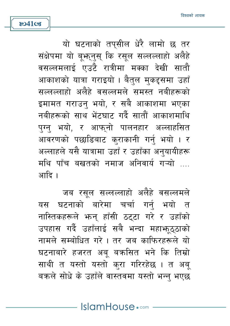**ষ্ঠে41ত্ত** 

यो घटनाको तपसील धेरै लामो छ तर संक्षेपमा यो बूभन् स कि रसूल सल्लल्लाहो अलैहे वसल्लमलाई एउटै रात्रीमा मक्का देखी सातौ आकाशको यात्रा गराइयो । बैतल मकदृसमा उहाँ सल्लल्लाहो अलैहे वसल्लमले समस्त नबीहरूको इमामत गराउन् भयो, र सबै आकाशमा भएका नबीहरूको साथ भेंटघाट गर्दै सातौं आकाशमाथि पुग्न भयो, र आफुनो पालनहार अल्लाहसित आवरणको पछाडिबाट कराकानी गर्नु भयो । र अल्लाहले यसै यात्रामा उहाँ र उहाँका अनयायीहरू मथि पाँच बखतको नमाज अनिवार्य गऱ्यो .... आदि ।

जब रसल सल्लल्लाहो अलैहे वसल्लमले यस घटनाको बारेमा चर्चा गर्न भयो त नास्तिकहरूले भन् हाँसी ठट्टा गरे र उहाँको उपहास गर्दै उहाँलाई सबै भन्दा महाभूठ्ठाको नामले सम्बोधित गरे। तर जब काफिरहरूले यो घटनाबारे हजरत अब बक्रसित भने कि तिम्रो साथी त यस्तो यस्तो करा गरिरहेछ । त अब् बक्रले सोधे के उहाँले वास्तवमा यस्तो भन्न भएछ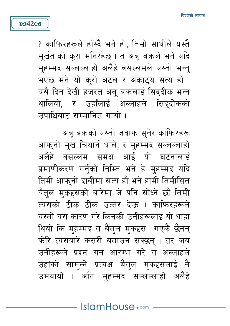? काफिरहरूले हाँस्दै भने हो, तिम्रो साथीले यस्तै मूर्खताको करा भनिरहेछ । त अबू बक्रले भने यदि महम्मद सल्लल्लाहो अलैहे वसल्लमले यस्तो भन्न भएछ भने यो करो अटल र अकाट्य सत्य हो। यसै दिन देखी हजरत अब बक्रलाई सिददीक भन्न थालियो, र उहाँलाई अल्लाहले सिद्दीकको उपाधिबाट सम्मानित गऱ्यो ।

**ষ্ঠে42cg** 

अबू बक्रको यस्तो जवाफ सुनेर काफिरहरू आफनो मख चिथार्न थाले. र महम्मद सल्लल्लाहो अलैहे वसल्लम समक्ष आई यो घटनालाई प्रमाणीकरण गर्नको निम्ति भने हे महम्मद यदि तिमी आफनो दावीमा सत्य हौ भने हामी तिमीसित बैतल मकदृसको बारेमा जे पनि सोध्ने छौं तिमी त्यसको ठीक ठीक उत्तर देऊ । काफिरहरूले यस्तो यस कारण गरे किनकी उनीहरूलाई यो थाहा थियो कि महम्मद त बैतल मकदृस गएकै छैनन् फोरे त्यसबारे कसरी बताउन सक्छन् । तर जब उनीहरूले प्रश्न गर्न आरम्भ गरे त अल्लाहले उहाँको सामन्ने प्रत्यक्ष बैतुल मुकदृसलाई नै उभयायो । अनि मुहम्मद सल्लल्लाहो अलैहे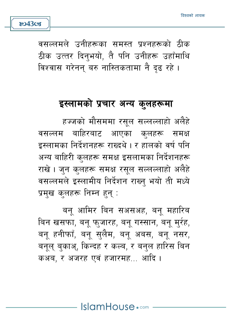वसल्लमले उनीहरूका समस्त प्रश्नहरूको ठीक ठीक उत्तर दिन्भयो, तै पनि उनीहरू उहाँमाथि विश्वास गरेनन् बरु नास्तिकतामा नै दढ रहे ।

### इस्लामको प्रचार अन्य कुलहरूमा

हज्जको मौसममा रसल सल्लल्लाहो अलैहे बाहिरबाट आएका कलहरू समक्ष वसल्लम इस्लामका निर्देशनहरू राख्दथे। र हालको वर्ष पनि अन्य बाहिरी कुलहरू समक्ष इसलामका निर्देशनहरू राखे। जन कलहरू समक्ष रसल सल्लल्लाहो अलैहे वसल्लमले इस्लामीय निर्देशन राख्न् भयो ती मध्ये प्रमख कलहरू निम्न हन:

बन आमिर बिन सअसअह, बन महारिब बिन खसफा, बन् फ्जारह, बन् गस्सान, बन् म्र्रह, बन हनीफाँ, बन सलैम, बन अबस, बन नसर, बनल बकाअ, किन्दह र कल्ब, र बनल हारिस बिन कअब. र अजरह एवं हजारमह… आदि ।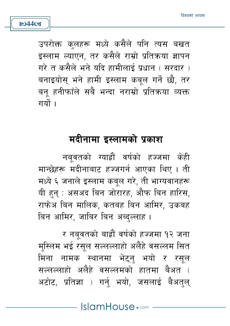उपरोक्त कुलहरू मध्ये कसैले पनि त्यस बखत इस्लाम ल्याएन. तर कसैले राम्रो प्रतिक्रया ज्ञापन गरे त कसैले भने यदि हामीलाई प्रधान ( सरदार ) बनाइयोस भने हामी इस्लाम कबल गर्ने छौ, तर बन हनीफाँले सबै भन्दा नराम्रो प्रतिक्रया व्यक्त गर्यो ।

**804403** 

### मदीनामा इस्लामको प्रकाश

नबवतको ग्याह्रौं वर्षको हज्जमा केही मान्छेहरू मदीनाबाट हज्जगर्न आएका थिए । ती मध्ये ६ जनाले इस्लाम कबूल गरे, ती भाग्यवानहरू यी हुन् : असअद बिन जोरारह, औफ बिन हारिस, राफेअ बिन मालिक, कतबह बिन आमिर, उकबह बिन आमिर, जाबिर बिन अब्दल्लाह ।

र नबवतको बाह्रौं वर्षको हज्जमा १२ जना मस्लिम भई रसूल सल्लल्लाहो अलैहे वसल्लम सित मिना नामक स्थानमा भेटन भयो र रसुल सल्लल्लाहो अलैहे वसल्लमको हातमा बैअत ( अटोट, प्रतिज्ञा ) गर्न भयो, जसलाई बैअतल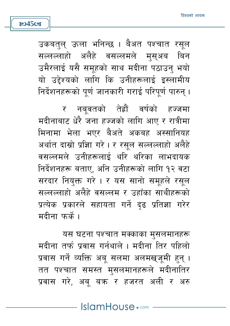उकबत्**ल् ऊला भनिन्छ । बैअत पश्चात रसू**ल सल्लल्लाहो अलैहे वसल्लमले मुस्अब बिन उमैरलाई यसै समहको साथ मदीना पठाउन भयो यो उद्देश्यको लागि कि उनीहरूलाई इस्लामीय निर्देशनहरूको पर्ण जानकारी गराई परिपर्ण पारुन् ।

**ষ্ঠে45** তের

र नबवतको तेह्रौं वर्षको हज्जमा मदीनाबाट धेरै जना हज्जको लागि आए र रात्रीमा मिनामा भेला भएर बैअते अकबह अस्सानियह अर्थात दास्रो प्रज्ञाि गरे । र रसुल सल्लल्लाहो अलैहे वसल्लमले उनीहरूलाई थरि थरिका लाभदायक निर्देशनहरू बताए. अनि उनीहरूको लागि १२ वटा सरदार नियक्त गरे । र यस सानो समूहले रसूल सल्लल्लाहो अलैहे वसल्लम र उहाँका साथीहरूको प्रत्येक प्रकारले सहायता गर्ने दृढ प्रतिज्ञा गरेर मदीना फर्के ।

यस घटना पश्चात मक्काका मुसलमानहरू मदीना तर्फ प्रवास गर्नथाले । मदीना तिर पहिलो प्रवास गर्ने व्यक्ति अबू सलमा अलमखुजूमी हुन् । तत पश्चात समस्त मसलमानहरूले मदीनातिर प्रवास गरे, अब बक्र र हजरत अली र अरु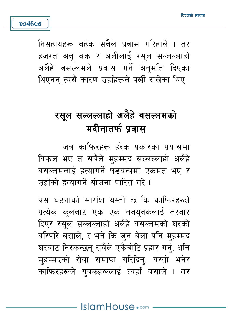

**804603** 

## रसुल सल्लल्लाहो अलैहे वसल्लमको मदीनातर्फ प्रवास

जब काफिरहरू हरेक प्रकारका प्रयासमा विफल भए त सबैले महम्मद सल्लल्लाहो अलैहे वसल्लमलाई हत्यागर्ने षडयन्त्रमा एकमत भए र उद्दाँको हत्यागर्ने योजना पारित गरे ।

यस घटनाको सारांश यस्तो छ कि काफिरहरुले प्रत्येक कलबाट एक एक नवयवकलाई तरवार दिएर रसल सल्लल्लाहो अलैहे वसल्लमको घरको वरिपरि बसाले, र भने कि जन बेला पनि महम्मद घरबाट निस्कन्छन् सबैले एकैचोटि प्रहार गर्नु, अनि मुहम्मदको सेवा समाप्त गरिदिन्, यस्तो भनेर काफिरहरूले युवकहरूलाई त्यहाँ बसाले । तर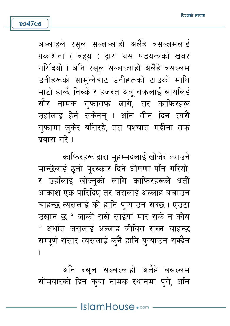अल्लाहले रसल सल्लल्लाहो अलैहे वसल्लमलाई प्रकाशना ( वहय ) द्वारा यस षडयन्त्रको खबर गरिदियो । अनि रसल सल्लल्लाहो अलैहे वसल्लम उनीहरूको सामुन्नेबाट उनीहरूको टाउको माथि माटो हाल्दै निस्के र हजरत अब बक्रलाई साथलिई सौर नामक गफातर्फ लागे, तर काफिरहरू उहाँलाई हेर्न सकेनन् । अनि तीन दिन त्यसै गुफामा लुकेर बसिरहे, तत पश्चात मदीना तर्फ पवास गरे।

**ষ্ঠে47cg** 

काफिरहरू द्वारा मुहम्मदलाई खोजेर ल्याउने मान्छेलाई ठलो परस्कार दिने घोषणा पनि गरियो. र उहाँलाई खोज्नको लागि काफिरहरूले धर्ती आकाश एक पारिदिए तर जसलाई अल्लाह बचाउन चाहन्छ त्यसलाई को हानि पऱ्याउन सक्छ। एउटा उखान छ " जाको राखे साईयां मार सके न कोय " अर्थात जसलाई अल्लाह जीवित राख्न चाहन्छ सम्पूर्ण संसार त्यसलाई कुनै हानि प्ऱ्याउन सक्दैन  $\overline{1}$ 

अनि रसल सल्लल्लाहो अलैहे वसल्लम सोमवारको दिन कुबा नामक स्थानमा पुगे, अनि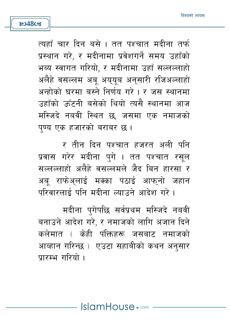त्यहाँ चार दिन बसे । तत पश्चात मदीना तर्फ प्रस्थान गरे, र मदीनामा प्रवेशगर्ने समय उहाँको भब्य स्वागत गरियो. र मदीनामा उहाँ सल्लल्लाहो अलैहे वसल्लम अब अययब अनुसारी रजिअल्लाहो अन्होको घरमा बस्ते निर्णय गरे। र जस स्थानमा उहाँको ऊँटनी बसेको थियो त्यसै स्थानमा आज मस्जिदे नबवी स्थित छ जसमा एक नमाजको पण्य एक हजारको बराबर छ।

**804808** 

र तीन दिन पश्चात हजरत अली पनि प्रवास गरेर मदीना पुगे । तत पश्चात रसुल सल्लल्लाहो अलैहे वसल्लमले जैद बिन हारसा र अब राफेअलाई मक्का पठाई आफनो जहान परिवारलार्द पनि मदीना ल्याउने आदेश गरे ।

मदीना पुगेपछि सर्वप्रथम मस्जिदे नबवी बनाउने आदेश गरे, र नमाजको लागि अजान दिने कलेमात ( केही पंक्तिहरू जसबाट नमाजको आव्हान गरिन्छ ) एउटा सहाबीको कथन अनुसार प्रारम्भ गरियो ।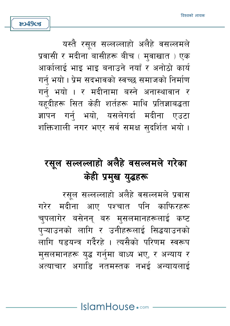यस्तै रसल सल्लल्लाहो अलैहे वसल्लमले प्रवासी र मदीना बासीहरू बीच ( म्**वाखात** ) एक आर्कालाई भाइ भाइ बनाउने नयाँ र अनोठो कार्य गर्न भयो। प्रेम सदभावको स्वच्छ समाजको निर्माण गर्नु भयो । र मदीनामा बस्ने अनास्थावान र यहूदीहरू सित केही शर्तहरू माथि प्रतिज्ञाबद्धता ज्ञापन गर्न भयो. यसलेगर्दा मदीना एउटा शक्तिशाली नगर भएर सर्व समक्ष सुदर्शित भयो।

**ষ্ঠে49ত্তে** 

# रसूल सल्लल्लाहो अलैहे वसल्लमले गरेका केही प्रमुख युद्धहरू

रसूल सल्लल्लाहो अलैहे वसल्लमले प्रवास गरेर मदीना आए पश्चात पनि काफिरहरू चपलागेर बसेनन् बरु मुसलमानहरूलाई कष्ट प्ऱ्याउनको लागि र उनीहरूलाई सिद्धयाउनको लागि षडयन्त्र गर्दैरहे । त्यसैको परिणम स्वरूप मुसलमानहरू युद्ध गर्नुमा बाध्य भए, र अन्याय र अत्याचार अगाडि नतमस्तक नभई अन्यायलाई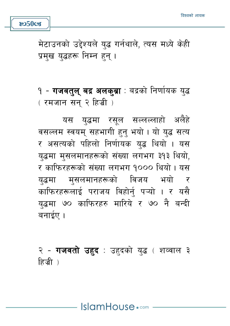मेटाउनको उद्देश्यले युद्ध गर्नथाले, त्यस मध्ये केही प्रमुख युद्धहरू निम्न हुन् ।

 $8050$ cz

१ - **गजवत्***ल* **बद्र अलक्ब्रा** : बद्रको निर्णायक युद्ध ( रमजान सन् २ हिज्री )

यस यद्धमा रसूल सल्लल्लाहो अलैहे वसल्लम स्वयम् सहभागी हुन् भयो। यो युद्ध सत्य र असत्यको पहिलो निर्णायक युद्ध थियो । यस युद्धमा मुसलमानहरूको संख्या लगभग ३१३ थियो, र काफिरहरूको संख्या लगभग १००० थियो। यस मुसलमानहरूको विजय भयो र यद्धमा काफिरहरूलाई पराजय विहोर्न् पऱ्यो । र यसै युद्धमा ७० काफिरहरु मारिये र ७० नै बन्दी बनाईए ।

२ - **गजवतो उहद**ः उहदको युद्ध ( शव्वाल ३ हिजी)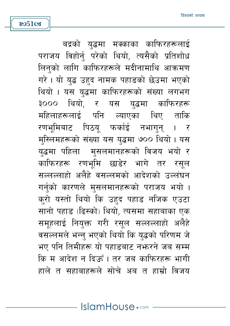**805108** 

बद्रको यद्धमा मक्काका काफिरहरूलाई पराजय विहोर्न् परेको थियो, त्यसैको प्रतिशोध लिनको लागि काफिरहरूले मदीनामाथि आक्रमण गरे। यो युद्ध उहद नामक पहाडको छेउमा भएको थियो । यस युद्धमा काफिरहरूको संख्या लगभग ३००० थियो. र यस युद्धमा काफिरहरू महिलाहरूलाई पनि ल्याएका थिए ताकि रणभूमिबाट पिठयू फर्काई नभागुन् । र मुस्लिमहरूको संख्या यस युद्धमा ७०० थियो। यस युद्धमा पहिला मुसलमानहरूको विजय भयो र काफिरहरू रणभूमि छाडेर भागे तर रसुल सल्लल्लाहो अलैहे वसल्लमको आदेशको उल्लंघन गर्नुको कारणले मुसलमानहरूको पराजय भयो । कुरो यस्तो थियो कि उहद पहाड नजिक एउटा सानो पहाड (ढिस्को) थियो, त्यसमा सहाबाका एक समूहलाई नियुक्त गरी रसूल सल्लल्लाहो अलैहे वसल्लमले भन्न भएको थियो कि यद्धको परिणम जे भए पनि तिमीहरू यो पहाड़बाट नभ्रुरने जब सम्म कि म आदेश न दिऊँ । तर जब काफिरहरू भागी हाले त सहाबाहरूले सोचे अब त हाम्रो विजय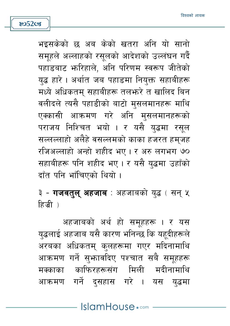भइसकेको छ अब केको खतरा अनि यो सानो समूहले अल्लाहको रसूलको आदेशको उल्लंघन गर्दै पहाड़बाट भारिहाले. अनि परिणम स्वरूप जीतेको यद्ध हारे । अर्थात जब पहाडमा नियक्त सहाबीहरू मध्ये अधिकतम सहाबीहरू तलफरे त खालिद बिन वलीदले त्यसै पहाडीको बाटो मुसलमानहरू माथि एक्कासी आक्रमण गरे अनि मसलमानहरूको पराजय निश्चित भयो । र यसै युद्धमा रसुल सल्लल्लाहो अलैहे वसल्लमको काका हजरत हम्जह रजिअल्लाहो अन्हो शहीद भए। र अरु लगभग ७० सहाबीहरू पनि शहीद भए। र यसै युद्धमा उहाँको दाँत पनि भाँचिएको थियो ।

३ - **गजवत्***ल् अहजाब***ः** अहजाबको युद्ध ( सन् ५ हिज्री )

अहजाबको अर्थ हो समूहहरू । र यस युद्धलाई अहजाब यसै कारण भनिन्छ कि यहदीहरूले अरबका अधिकतम् कुलहरूमा गएर मदिनामाथि आक्रमण गर्ने सुभ्रावदिए पश्चात सबै समूहहरू मक्काका काफिरहरूसंग मिली मदीनामाथि आक्रमण गर्ने दुसहास गरे । यस युद्धमा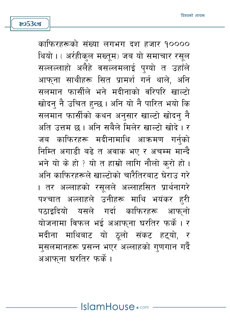හ**53**ය

काफिरहरूको संख्या लगभग दश हजार १०००० थियो । ( अर्रहीक्ल मख्तूम) जब यो समाचार रसूल सल्लल्लाहो अलैहे वसल्लमलाई पग्यो त उहाँले आफ्ना साथीहरू सित प्रामर्श गर्न थाले. अनि सलमान फार्सीले भने मदीनाको वरिपरि खाल्टो खोदन नै उचित हुन्छ । अनि यो नै पारित भयो कि सलमान फार्सीको कथन अनसार खाल्टो खोदन नै अति उत्तम छ । अनि सबैले मिलेर खाल्टो खोदे । र जब काफिरहरू मदीनामाथि आक्रमण गर्नुको निम्ति अगाडी बढे त अवाक भए र अचम्म मान्दै भने यो के हो ? यो त हाम्रो लागि नौलो करो हो । अनि काफिरहरूले खाल्टोको चारैतिरबाट घेराउ गरे । तर अल्लाहको रसूलले अल्लाहसित प्रार्थनागरे पश्चात अल्लाहले उनीहरू माथि भयंकर हरी पठाडदियो यसले गर्दा काफिरहरू आफ्**नो** योजनामा विफल भई अआफना घरतिर फर्के । र मदीना माथिबाट यो ठूलो संकट हट्यो, र मुसलमानहरू प्रसन्न भएर अल्लाहको गणगान गर्दै अआफ्ना घरतिर फर्के।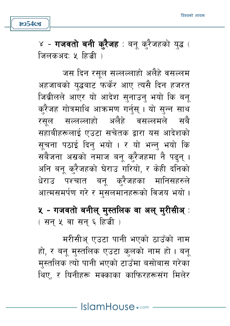४ - **गजवतो बनी क्7ैजह** : बनू क्7ैजहको युद्ध ( जिलकअद: ५ हिजी )

හ54**c**s

जस दिन रसूल सल्लल्लाहो अलैहे वसल्लम अहजाबको यद्धबाट फर्केर आए त्यसै दिन हजरत जिब्रीलले आएर यो आदेश सुनाउनु भयो कि बन् करैजह गोत्रमाथि आक्रमण गर्नस । यो सन्न साथ रसुल सल्लल्लाहो अलैहे वसल्लमले सबै सहाबीहरूलाई एउटा सचेतक द्वारा यस आदेशको सचना पठाई दिन भयो । र यो भन्न भयो कि सबैजना अस्रको नमाज बन् क्रैजहमा नै पढ्न् । अनि बन करैजहको घेराउ गरियो, र केही दनिको धेराउ पश्चात बन करैजहका मानिसहरुले आत्मसमर्पण गरे र मसलमानहरूको विजय भयो।

५ - गजवतो बनील् मुस्तलिक वा अल् मुरीसीअ्ः (सन् ५ वा सन् ६ हिज्री)

मरीसीअ एउटा पानी भएको ठाउँको नाम हो, र बन् मुस्तलिक एउटा कुलको नाम हो। बन् मस्तलिक त्यो पानी भएको टाउँमा बसोबास गरेका थिए. र यिनीहरू मक्काका काफिरहरूसंग मिलेर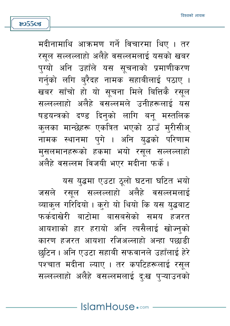मदीनामाथि आक्रमण गर्ने विचारमा थिए । तर रसूल सल्लल्लाहो अलैहे वसल्लमलाई यसको खबर पग्यो अनि उहाँले यस सचनाको प्रमाणीकरण गर्नको लगि बरैदह नामक सहाबीलाई पठाए । खबर साँचो हो यो सूचना मिले बित्तिकै रसूल सल्लल्लाहो अलैहे वसल्लमले उनीहरूलाई यस षडयन्त्रको दण्ड दिन्को लागि बन् मस्तलिक कलका मान्छेहरू एकत्रित भएको ठाउँ मुरीसीअ् नामक स्थानमा पुगे । अनि युद्धको परिणाम मसलमानहरूको हकमा भयो रसल सल्लल्लाहो अलैहे वसल्लम विजयी भएर मदीना फर्के।

यस यद्धमा एउटा ठूलो घटना घटित भयो जसले रसल सल्लल्लाहो अलैहे वसल्लमलाई व्याकुल गरिदियो । कुरो यो थियो कि यस युद्धबाट फर्कदाखेरी बाटोमा बासबसेको समय हजरत आयशाको हार हरायो अनि त्यसैलाई खोज्नको कारण हजरत आयशा रजिअल्लाहो अन्हा पछाडी छटिन । अनि एउटा सहाबी सफवानले उहाँलाई हेरे पश्चात मदीना ल्याए । तर कपटिहरूलाई रसुल सल्लल्लाहो अलैहे वसल्लमलाई द:ख पऱ्याउनको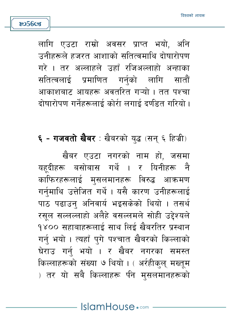लागि एउटा राम्रो अवसर प्राप्त भयो, अनि उनीहरूले हजरत आशाको सतित्वमाथि दोषारोपण गरे । तर अल्लाहले उहाँ रजिअल्लाहो अन्हाका सतित्वलाई प्रमाणित गर्नको लागि सातौं आकाशबाट आयहरू अवतरित गऱ्यो । तत पश्चा दोषारोपण गर्नेहरूलाई कोरी लगाई दर्णडत गरियो ।

හ**56**ය

**६ - गजवतो खैबर** : खैबरको युद्ध (सन् ६ हिज्री)

खैबर एउटा नगरको नाम हो, जसमा यहदीहरू बसोबास गर्थे । र यिनीहरू नै काफिरहरूलाई मुसलमानहरू विरुद्ध आक्रमण गर्नमाथि उत्तेजित गर्थे। यसै कारण उनीहरूलाई पाठ पढाउन् अनिवार्य भइसकेको थियो । तसर्थ रसल सल्लल्लाहो अलैहे वसल्लमले सोही उद्देश्यले १४०० सहाबाहरूलाई साथ लिई खैबरतिर प्रस्थान गर्नु भयो । त्यहाँ पुगे पश्चात खैबरको किल्लाको घेराउ गर्न भयो । र खैबर नगरका समस्त किल्लाहरूको संख्या ७ थियो। (अर्रहीकुल् मख्तुम ) तर यो सबै किल्लाहरू पीन मुसलमानहरूको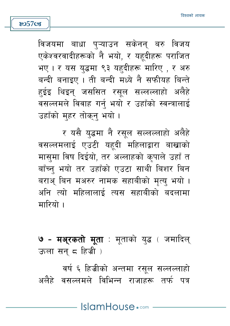विजयमा बाधा पऱ्याउन सकेनन बरु विजय एकेश्वरवादीहरूको नै भयो, र यहूदीहरू पराजित भए। र यस यद्धमा ९३ यहदीहरू मारिए . र अरु बन्दी बनाइए । ती बन्दी मध्ये नै सफीयह बिन्ते हुईइ थिइन् जससित रसुल सल्लल्लाहो अलैहे वसल्लमले विवाह गर्न् भयो र उहाँको स्वन्त्रालाई उहाँको महर तोकन भयो।

**805708** 

र यसै यद्धमा नै रसूल सल्लल्लाहो अलैहे वसल्लमलाई एउटी यहदी महिलाद्वारा बाखाको मासमा विष दिईयो, तर अल्लाहको कुपाले उहाँ त बाँच्न भयो तर उहाँको एउटा साथी बिशर बिन बराअ् बिन मअरुर नामक सहाबीको मत्य भयो । अनि त्यो महिलालाई त्यस सहाबीको बदलामा मारियो ।

७ - मअ़्रकतो मृता : मूताको युद्ध ( जमादिल् ऊला सन् ८ हिज्री )

वर्ष ६ हिज्रीको अन्तमा रसूल सल्लल्लाहो अलैहे वसल्लमले विभिन्न राजाहरू तर्फ पत्र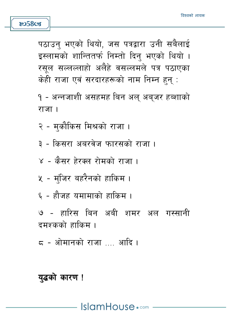## यद्धको कारण !

- ८ ओमानको राजा …. आदि ।
- टमश्कको दाकिम ।

**805808** 

- ७ हारिस बिन अबी शमर अल गस्सानी
- ६ हौजह यमामाको हाकिम ।
- ५ मंजिर बहरैनको हाकिम ।
- ४ कैसर हेरक्ल रोमको राजा ।
- 
- २ मुकौकिस मिश्रको राजा ।

३ - किसरा अबरवेज फारसको राजा ।

- १ अन्नजाशी असहमह बिन अल अबजर हब्शाको राजा।
- पठाउन भएको थियो. जस पत्रद्वारा उनी सबैलाई इस्लामको शान्तितर्फ निम्तो दिन् भएको थियो । रसल सल्लल्लाहो अलैहे वसल्लमले पत्र पठाएका केही राजा एवं सरदारहरूको नाम निम्न हन :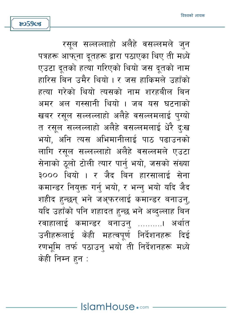හ**59**ය

रसूल सल्लल्लाहो अलैहे वसल्लमले जुन पत्रहरू आफ्ना दूतहरू द्वारा पठाएका थिए ती मध्ये एउटा दतको हत्या गरिएको थियो जस दतको नाम हारिस बिन उमैर थियो। र जस हाकिमले उहाँको हत्या गरेको थियो त्यसको नाम शरहबील बिन अमर अल गस्सानी थियो । जब यस घटनाको खबर रसल सल्लल्लाहो अलैहे वसल्लमलाई पग्यो त रसुल सल्लल्लाहो अलैहे वसल्लमलाई धेरै द:ख भयो. अनि त्यस अभिमानीलाई पाठ पढाउनको लागि रसल सल्लल्लाहो अलैहे वसल्लमले एउटा सेनाको ठुलो टोली त्यार पार्नु भयो, जसको संख्या ३००० थियो । र जैद बिन हारसालाई सेना कमान्डर नियुक्त गर्नु भयो, र भन्नु भयो यदि जैद शहीद हन्छन् भने जअ्फरलाई कमान्डर बनाउन्, यदि उहाँको पनि शहादत हुन्छ भने अब्दुल्लाह बिन रवाहालाई कमान्डर बनाउन .........। अर्थात उनीहरूलाई केही महत्वपर्ण निर्देशनहरू दिई रणभमि तर्फ पठाउन भयो ती निर्देशनहरू मध्ये केही निम्न हन: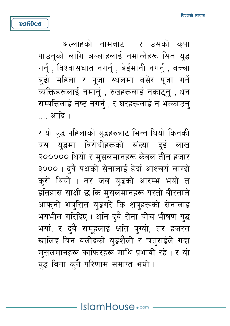अल्लाहको नामबाट - र उसको कपा पाउन्को लागि अल्लाहलाई नमान्नेहरू सित युद्ध गर्न , विश्वासघात नगर्न , बेईमानी नगर्न , बच्चा बढो महिला र पजा स्थलमा बसेर पजा गर्ने व्यक्तिहरूलाई नमार्न् , रुखहरूलाई नकाटन् , धन सम्पत्तिलाई नष्ट नगर्न् , र घरहरूलाई न भत्काउनु …. आदि ।

र यो युद्ध पहिलाको युद्धहरुबाट भिन्न थियो किनकी यस यद्धमा विरोधीहरूको संख्या दुई लाख २००००० थियो र मुसलमानहरू केवल तीन हजार ३००० । दवै पक्षको सेनालाई हेर्दा आश्चर्य लाग्दो करो थियो । तर जब युद्धको आरम्भ भयो त इतिहास साक्षी छ कि मुसलमानहरू यस्तो वीरताले आफनो शत्रसित यद्धगरे कि शत्रहरूको सेनालाई भयभीत गरिदिए। अनि दुवै सेना बीच भीषण युद्ध भया, र दुवै समूहलाई क्षति पुग्यो, तर हजरत खालिद बिन वलीदको युद्धशैली र चतुराईले गर्दा मुसलमानहरू काफिरहरू माथि प्रभावी रहे। र यो युद्ध बिना कुनै परिणाम समाप्त भयो ।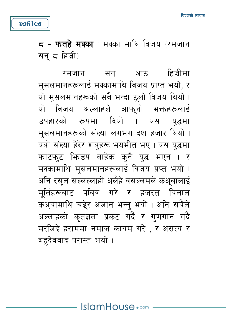5 - फतहे मक्का : मक्का माथि विजय (रमजान सन ८ हिज्री)

हिजीमा रमजान सन् आठ मसलमानहरूलाई मक्कामाथि विजय प्राप्त भयो, र यो मुसलमानहरूको सबै भन्दा ठूलो विजय थियो। यो विजय अल्लाहले आफनो भक्तहरूलाई उपहारको रूपमा दियो । यस यद्धमा मुसलमानहरूको संख्या लगभग दश हजार थियो। यत्रो संख्या हेरेर शत्रहरू भयभीत भए । यस युद्धमा फाटफट भिन्डप बाहेक कुनै युद्ध भएन । र मक्कामाथि मुसलमानहरूलाई विजय प्रप्त भयो । अनि रसूल सल्लल्लाहो अलैहे वसल्लमले कअ्बालाई मर्तिहरूबाट पवित्र गरे र हजरत बिलाल कअ़बामाथि चढ़ेर अजान भन्न भयो। अनि सबैले अल्लाहको कृतज्ञता प्रकट गर्दै र गणगान गर्दै मर्सजदे हराममा नमाज कायम गरे , र असत्य र बहदेववाद परास्त भयो।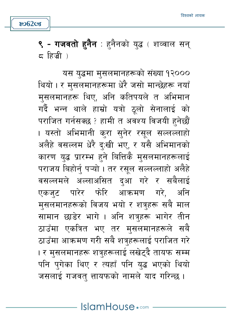यस युद्धमा मुसलमानहरूको संख्या १२००० थियो । र मसलमानहरूमा धेरै जसो मान्छेहरू नयाँ मुसलमानहरू थिए, अनि कतिपयले त अभिमान गर्दै भन्न थाले हाम्रो यत्रो ठलो सेनालाई को पराजित गर्नसक्छ ? हामी त अवश्य विजयी हुनेछौं । यस्तो अभिमानी कुरा सुनेर रसूल सल्लल्ल<mark>ा</mark>हो अलैहे वसल्लम धेरै द:खी भए, र यसै अभिमानको कारण युद्ध प्रारम्भ हुने बित्तिकै मुसलमानहरूलाई पराजय बिहोर्न पऱ्यो । तर रसल सल्लल्लाहो अलैहे वसल्लमले अल्लाअसित दआ गरे र सबैलाई एकजुट पारेर फोरि आक्रमण गरे. अनि मुसलमानहरूको विजय भयो र शत्रुहरू सबै माल सामान छाडेर भागे । अनि शत्रहरू भागेर तीन ठाउँमा एकत्रित भए तर मुसलमानहरूले सबै ठाउँमा आक्रमण गरी सबै शत्रहरूलाई पराजित गरे । र मसलमानहरू शत्रहरूलाई लखेटदै तायफ सम्म पनि पुगेका थिए र त्यहाँ पनि युद्ध भएको थियो जसलाई गजवत् त्तायफको नामले याद गरिन्छ ।

**९ - गजवतो हनैन** : हनैनको युद्ध ( शव्वाल सन् ८ हिजी )

හ**62**cs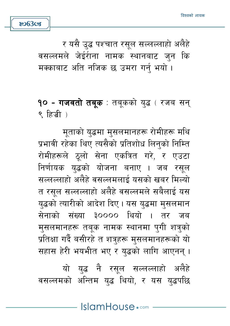यो यद्ध नै रसुल सल्लल्लाहो अलैहे वसल्लमको अन्तिम युद्ध थियो, र यस युद्धपछि

मताको यद्धमा मसलमानहरू रोमीहरू मथि प्रभावी रहेका थिए त्यसैको प्रतिशोध लिन्को निम्ति रोमीहरूले ठुलो सेना एकत्रित गरे, र एउटा निर्णायक युद्धको योजना बनाए । जब रसुल सल्लल्लाहो अलैहे वसल्लमलाई यसको खबर मिल्यो त रसुल सल्लल्लाहो अलैहे वसल्लमले सबैलाई यस युद्धको त्यारीको आदेश दिए। यस युद्धमा मुसलमान सेनाको संख्या ३०००० थियो । तर जब मसलमानहरू तबक नामक स्थानमा पगी शत्रको प्रतिक्षा गर्दै बसीरहे त शत्रहरू मसलमानहरूको यो सहास हेरी भयभीत भए र यद्धको लागि आएनन् ।

**१० - गजवतो तब्**क : तब्कको युद्ध ( रजब सन् ९ हिजी)

र यसै उद्ध पश्चात रसूल सल्लल्लाहो अलैहे वसल्लमले जेईरीना नामक स्थानबाट जन कि मक्काबाट अति नजिक छ उमरा गर्न भयो।

හ**63**ය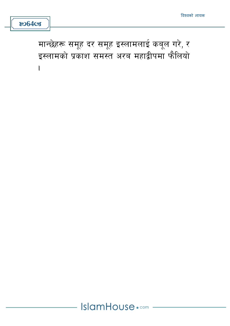मान्छेहरू समूह दर समूह इस्लामलाई कबूल गरे, र इस्लामको प्रकाश समस्त अरब महाद्वीपमा फैलियो  $\overline{1}$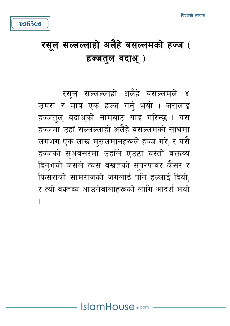**ಜು65cg** 

रसूल सल्लल्लाहो अलैहे वसल्लमले ४ उमरा र मात्र एक हज्ज गर्नु भयो । जसलाई हज्जत्**ल् वदाअ्को नामबाट याद गरिन्छ । यस** हज्जमा उहाँ सल्लल्लाहो अलैहे वसल्लमको साथमा लगभग एक लाख मुसलमानहरूले हज्ज गरे, र यसै हज्जको सुअवसरमा उहाँले एउटा यस्तो वक्तव्य दिनभयो जसले त्यस बखतको सपरपावर कैसर र किसराको सामराजको जगलाई पनि हल्लाई दियो, र त्यो वक्तव्य आउनेवालाहरूको लागि आदर्श भयो I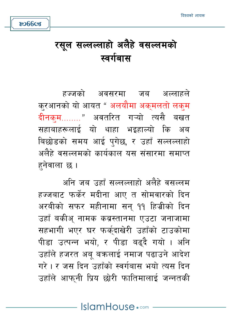

8066cs

हज्जको अवसरमा जब अल्लाहले क्रआनको यो आयत " अलयौमा अक्मलतो लक्म दीनक्म........" अवतरित गऱ्यो त्यसै बखत सहाबाहरूलाई यो थाहा भइहाल्यो कि अब बिछोडको समय आई पुगेछ, र उहाँ सल्लल्लाहो अलैहे वसल्लमको कार्यकाल यस संसारमा समाप्त हनेवाला छ ।

अनि जब उहाँ सल्लल्लाहो अलैहे वसल्लम हज्जबाट फर्केर मदीना आए त सोमवारको दिन अरबीको सफर महीनामा सन् ११ हिज्रीको दिन उहाँ बकीअु नामक कब्रस्तानमा एउटा जनाजामा सहभागी भएर घर फर्कुदाखेरी उहाँको टाउकोमा पीड़ा उत्पन्न भयो. र पीड़ा बढ़दै गयो । अनि उहाँले हजरत अब बक्रलाई नमाज पढाउने आदेश गरे। र जस दिन उद्दाँको स्वर्गबास भयो त्यस दिन उहाँले आफुनी प्रिय छोरी फातिमालाई जन्नतकी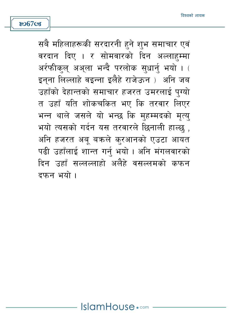හ**67**ය

सबै महिलाहरूकी सरदारनी हने शुभ समाचार एवं वरदान दिए । र सोमवारको दिन अल्लाहम्मा अर्रफीकल अअला भन्दै परलोक सुधार्नु भयो । ( इनना लिल्लाहे वइन्ना इलैहे राजेऊन ) अनि जब उहाँको देहान्तको समाचार हजरत उमरलाई पग्यो त उहाँ यति शोकचकित भए कि तरवार लिएर भन्न थाले जसले यो भन्छ कि महम्मदको मत्य भयो त्यसको गर्दन यस तरवारले छिनाली हाल्छु , अनि हजरत अबू बक्रले क्रआनको एउटा आयत पढी उहाँलाई शान्त गर्न भयो। अनि मंगलवारको दिन उहाँ सल्लल्लाहो अलैहे वसल्लमको कफन दफन भयो ।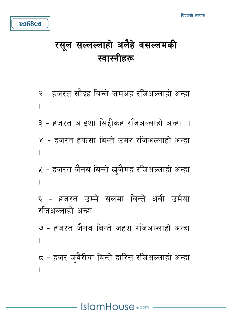so68cg

२ - हजरत सौदह बिन्ते जमअह रजिअल्लाहो अन्हा I ३ - हजरत आइशा सिद्दीकह रजिअल्लाहो अन्हा । ४ - हजरत हफसा बिन्ते उमर रजिअल्लाहो अन्हा Ì ५ - हजरत जैनब बिन्ते खजैमह रजिअल्लाहो अन्हा ı ६ - हजरत उम्मे सलमा बिन्ते अबी उमैया रजिअल्लाहो अन्हा ७ - हजरत जैनब बिन्ते जहश रजिअल्लाहो अन्हा ८ - हजर ज्वैरीया बिन्ते हारिस रजिअल्लाहो अन्हा  $\overline{1}$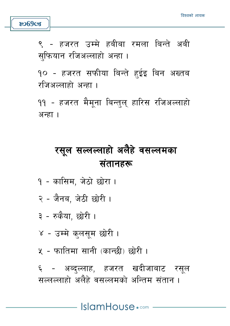

९ - हजरत उम्मे हबीबा रमला बिन्ते अबी सफियान रजिअल्लाहो अन्हा ।

१० - हजरत सफीया बिन्ते हुईइ बिन अख्तब रजिअल्लाहो अन्हा ।

११ - हजरत मैमूना बिन्तुल् हारिस रजिअल्लाहो अन्हा ।

# रसूल सल्लल्लाहो अलैहे वसल्लमका संतानहरू

- १ कासिम, जेठो छोरा ।
- २ जैनब. जेठी छोरी ।
- ३ रुकैया, छोरी ।
- ४ उम्मे कुलसम छोरी ।
- ५ फातिमा सानी (कान्छी) छोरी ।

६ - अब्दल्लाह, हजरत खदीजाबाट रसूल सल्लल्लाहो अलैहे वसल्लमको अन्तिम संतान ।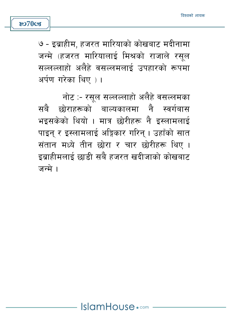

७ - इब्राहीम, हजरत मारियाको कोखबाट मदीनामा जन्मे (हजरत मारियालाई मिश्रको राजाले रसल सल्लल्लाहो अलैहे वसल्लमलाई उपहारको रूपमा अर्पण गरेका थिए ) ।

नोट :- रसुल सल्लल्लाहो अलैहे वसल्लमका सबै छोराहरूको बाल्यकालमा नै स्वर्गबास भइसकेको थियो । मात्र छोरीहरू नै इस्लामलाई पाइन् र इस्लामलाई अङ्गिकार गरिन् । उहाँको सात संतान मध्ये तीन छोरा र चार छोरीहरू थिए। इब्राहीमलाई छाडी सबै हजरत खदीजाको कोखबाट जन्मे ।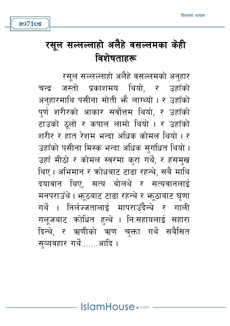**ষ্ঠ71** ডে

रसल सल्लल्लाहो अलैहे वसल्लमको अनहार जस्तो प्रकाशमय थियो, र उहाँको चन्द अनहारमाथि पसीना मोती भौ लाग्थ्यो । र उहाँको पर्ण शरीरको आकार सर्वोत्तम थियो. र उहाँको टाउको ठूलो र कपाल लामो थियो । र उहाँको शरीर र हात रेशम भन्दा अधिक कोमल थियो । र उहाँको पसीना मिस्क भन्दा अधिक सुगंधित थियो। उहाँ मीठो र कोमल स्वरमा कुरा गर्थे, र हंसमुख थिए। अभिमान र कोधबाट टाढा रहन्थे. सबै माथि दयावान थिए, सत्य बोलथे र सत्यवानलाई मनपराउँथे। भठबाट टाढा रहन्थे र भठूठाबाट घृणा गर्थे । निर्लज्जतालाई मापराउँदैन्थे र गाली गलजबाट कोधित हन्थे । नि:सहायलाई सहारा दिन्थे, र ऋणीको ऋण चक्ता गर्थे सबैसित सव्यवहार गर्थे.......आदि ।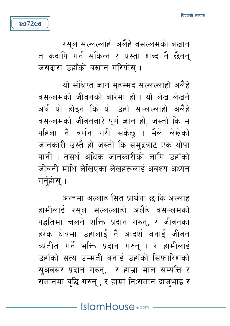रसल सल्लल्लाहो अलैहे वसल्लमको बखान त कदापि गर्न सकिन्न र यस्ता शब्द नै छैनन् जसद्वारा उहाँको बखान गरियोस् ।

**807208** 

यो संक्षिप्त ज्ञान महम्मद सल्लल्लाहो अलैहे वसल्लमको जीवनको बारेमा हो । यो लेख लेखने अर्थ यो होइन कि यो उहाँ सल्लल्लाहो अलैहे वसल्लमको जीवनबारे पुर्ण ज्ञान हो, जस्तो कि म पहिला नै वर्णन गरी सकेछ । मैले लेखेको जानकारी उस्तै हो जस्तो कि समुद्रबाट एक थोपा पानी । तसर्थ अधिक जानकारीको लागि उहाँको जीवनी माथि लेखिएका लेखहरूलाई अवश्य अध्यन गर्नुहोस् ।

अन्तमा अल्लाह सित प्रार्थना छ कि अल्लाह हामीलाई रसूल सल्लल्लाहो अलैहे वसल्लमको पद्धतिमा चलने शक्ति प्रदान गरुन्, र जीवनका हरेक क्षेत्रमा उहाँलाई नै आदर्श बनाई जीवन व्यतीत गर्ने भक्ति प्रदान गरुन् । र हामीलाई उहाँको सत्य उम्मती बनाई उहाँको सिफारिशको सुअवसर प्रदान गरुन्, र हाम्रा माल सम्पत्ति र संतानमा वृद्धि गरुन् , र हाम्रा निःसंतान दाजभाइ र

IslamHouse.com